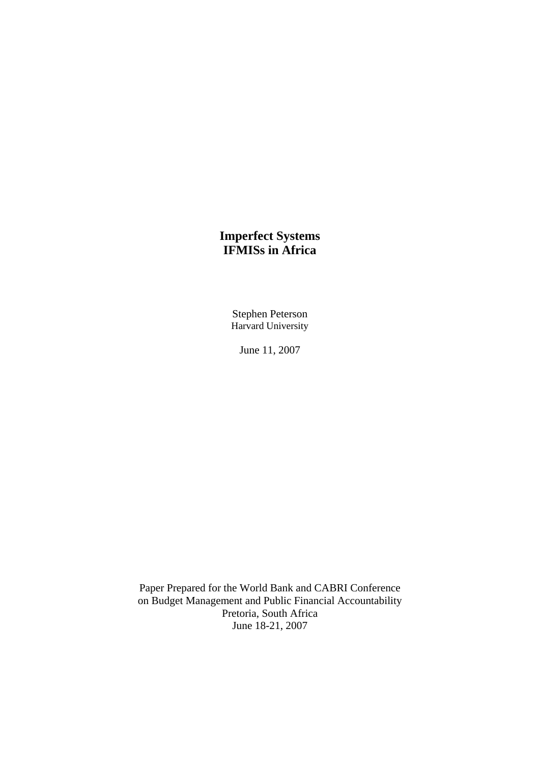# **Imperfect Systems IFMISs in Africa**

Stephen Peterson Harvard University

June 11, 2007

Paper Prepared for the World Bank and CABRI Conference on Budget Management and Public Financial Accountability Pretoria, South Africa June 18-21, 2007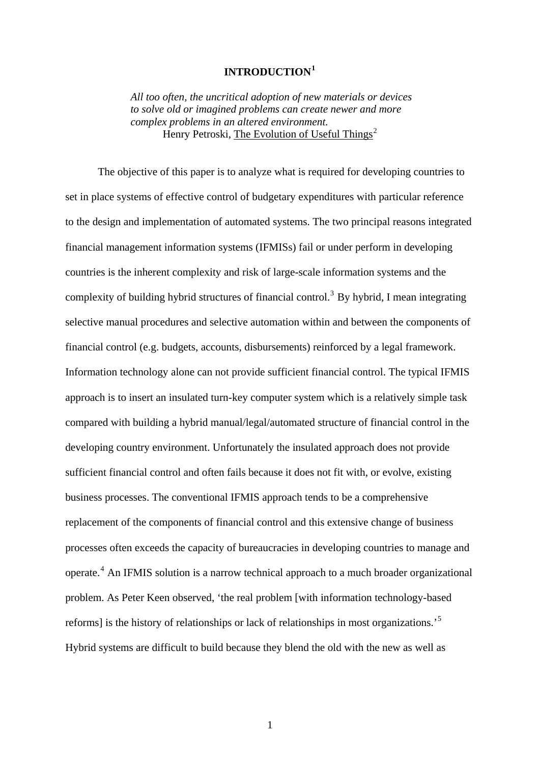# **INTRODUCTION[1](#page-56-0)**

*All too often, the uncritical adoption of new materials or devices to solve old or imagined problems can create newer and more complex problems in an altered environment.*  Henry Petroski, The Evolution of Useful Things<sup>[2](#page-56-1)</sup>

The objective of this paper is to analyze what is required for developing countries to set in place systems of effective control of budgetary expenditures with particular reference to the design and implementation of automated systems. The two principal reasons integrated financial management information systems (IFMISs) fail or under perform in developing countries is the inherent complexity and risk of large-scale information systems and the complexity of building hybrid structures of financial control.<sup>[3](#page-56-1)</sup> By hybrid, I mean integrating selective manual procedures and selective automation within and between the components of financial control (e.g. budgets, accounts, disbursements) reinforced by a legal framework. Information technology alone can not provide sufficient financial control. The typical IFMIS approach is to insert an insulated turn-key computer system which is a relatively simple task compared with building a hybrid manual/legal/automated structure of financial control in the developing country environment. Unfortunately the insulated approach does not provide sufficient financial control and often fails because it does not fit with, or evolve, existing business processes. The conventional IFMIS approach tends to be a comprehensive replacement of the components of financial control and this extensive change of business processes often exceeds the capacity of bureaucracies in developing countries to manage and operate.<sup>[4](#page-56-1)</sup> An IFMIS solution is a narrow technical approach to a much broader organizational problem. As Peter Keen observed, 'the real problem [with information technology-based reforms] is the history of relationships or lack of relationships in most organizations.'[5](#page-57-0) Hybrid systems are difficult to build because they blend the old with the new as well as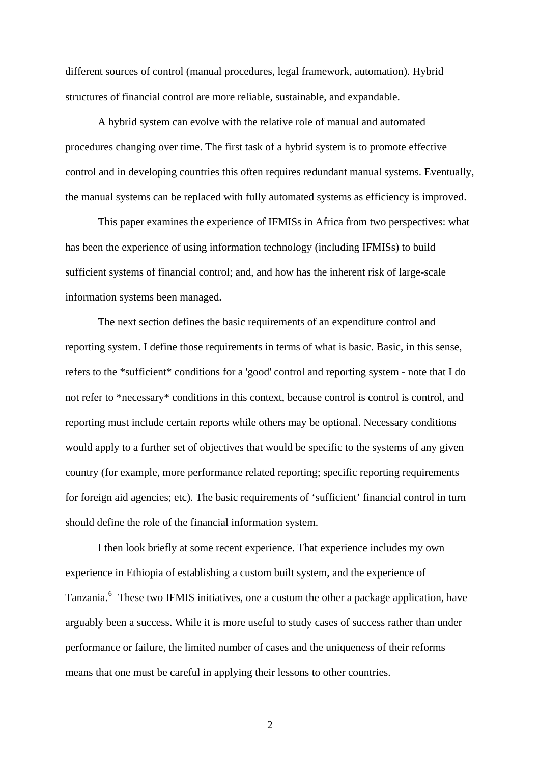different sources of control (manual procedures, legal framework, automation). Hybrid structures of financial control are more reliable, sustainable, and expandable.

A hybrid system can evolve with the relative role of manual and automated procedures changing over time. The first task of a hybrid system is to promote effective control and in developing countries this often requires redundant manual systems. Eventually, the manual systems can be replaced with fully automated systems as efficiency is improved.

This paper examines the experience of IFMISs in Africa from two perspectives: what has been the experience of using information technology (including IFMISs) to build sufficient systems of financial control; and, and how has the inherent risk of large-scale information systems been managed.

The next section defines the basic requirements of an expenditure control and reporting system. I define those requirements in terms of what is basic. Basic, in this sense, refers to the \*sufficient\* conditions for a 'good' control and reporting system - note that I do not refer to \*necessary\* conditions in this context, because control is control is control, and reporting must include certain reports while others may be optional. Necessary conditions would apply to a further set of objectives that would be specific to the systems of any given country (for example, more performance related reporting; specific reporting requirements for foreign aid agencies; etc). The basic requirements of 'sufficient' financial control in turn should define the role of the financial information system.

I then look briefly at some recent experience. That experience includes my own experience in Ethiopia of establishing a custom built system, and the experience of Tanzania.<sup>[6](#page-57-0)</sup> These two IFMIS initiatives, one a custom the other a package application, have arguably been a success. While it is more useful to study cases of success rather than under performance or failure, the limited number of cases and the uniqueness of their reforms means that one must be careful in applying their lessons to other countries.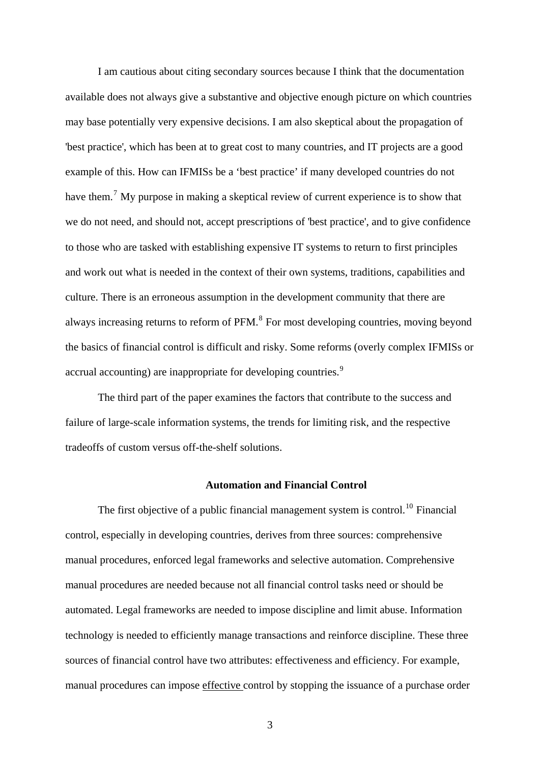I am cautious about citing secondary sources because I think that the documentation available does not always give a substantive and objective enough picture on which countries may base potentially very expensive decisions. I am also skeptical about the propagation of 'best practice', which has been at to great cost to many countries, and IT projects are a good example of this. How can IFMISs be a 'best practice' if many developed countries do not have them.<sup>[7](#page-57-0)</sup> My purpose in making a skeptical review of current experience is to show that we do not need, and should not, accept prescriptions of 'best practice', and to give confidence to those who are tasked with establishing expensive IT systems to return to first principles and work out what is needed in the context of their own systems, traditions, capabilities and culture. There is an erroneous assumption in the development community that there are always increasing returns to reform of PFM.<sup>[8](#page-57-0)</sup> For most developing countries, moving beyond the basics of financial control is difficult and risky. Some reforms (overly complex IFMISs or accrual accounting) are inappropriate for developing countries.<sup>[9](#page-57-0)</sup>

The third part of the paper examines the factors that contribute to the success and failure of large-scale information systems, the trends for limiting risk, and the respective tradeoffs of custom versus off-the-shelf solutions.

## **Automation and Financial Control**

The first objective of a public financial management system is control.<sup>[10](#page-57-0)</sup> Financial control, especially in developing countries, derives from three sources: comprehensive manual procedures, enforced legal frameworks and selective automation. Comprehensive manual procedures are needed because not all financial control tasks need or should be automated. Legal frameworks are needed to impose discipline and limit abuse. Information technology is needed to efficiently manage transactions and reinforce discipline. These three sources of financial control have two attributes: effectiveness and efficiency. For example, manual procedures can impose effective control by stopping the issuance of a purchase order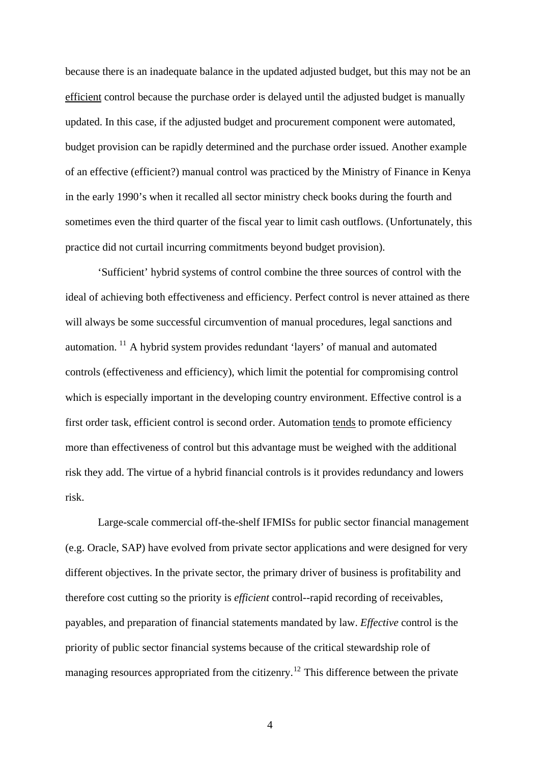because there is an inadequate balance in the updated adjusted budget, but this may not be an efficient control because the purchase order is delayed until the adjusted budget is manually updated. In this case, if the adjusted budget and procurement component were automated, budget provision can be rapidly determined and the purchase order issued. Another example of an effective (efficient?) manual control was practiced by the Ministry of Finance in Kenya in the early 1990's when it recalled all sector ministry check books during the fourth and sometimes even the third quarter of the fiscal year to limit cash outflows. (Unfortunately, this practice did not curtail incurring commitments beyond budget provision).

'Sufficient' hybrid systems of control combine the three sources of control with the ideal of achieving both effectiveness and efficiency. Perfect control is never attained as there will always be some successful circumvention of manual procedures, legal sanctions and automation. [11](#page-57-0) A hybrid system provides redundant 'layers' of manual and automated controls (effectiveness and efficiency), which limit the potential for compromising control which is especially important in the developing country environment. Effective control is a first order task, efficient control is second order. Automation tends to promote efficiency more than effectiveness of control but this advantage must be weighed with the additional risk they add. The virtue of a hybrid financial controls is it provides redundancy and lowers risk.

different objectives. In the private sector, the primary driver of business is profitability and payables, and preparation of financial statements mandated by law. *Effective* control is the managing resources appropriated from the citizenry.<sup>12</sup> This difference between the private Large-scale commercial off-the-shelf IFMISs for public sector financial management (e.g. Oracle, SAP) have evolved from private sector applications and were designed for very therefore cost cutting so the priority is *efficient* control--rapid recording of receivables, priority of public sector financial systems because of the critical stewardship role of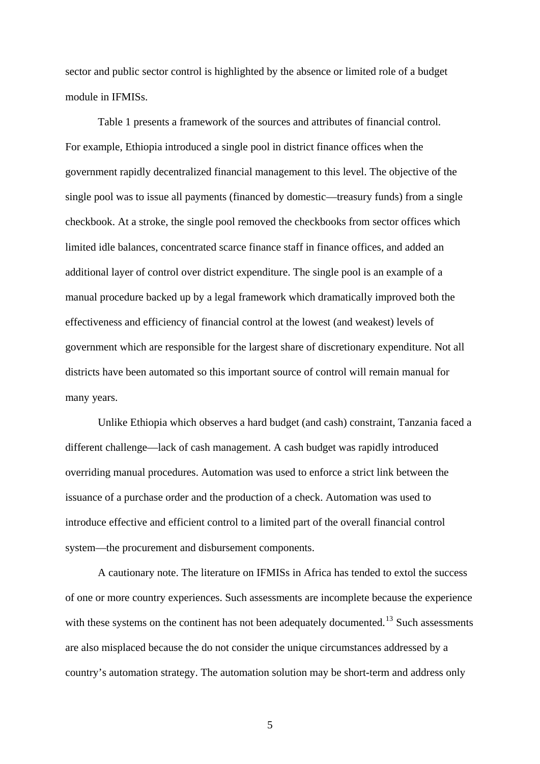sector and public sector control is highlighted by the absence or limited role of a budget module in IFMISs.

Table 1 presents a framework of the sources and attributes of financial control. For example, Ethiopia introduced a single pool in district finance offices when the government rapidly decentralized financial management to this level. The objective of the single pool was to issue all payments (financed by domestic—treasury funds) from a single checkbook. At a stroke, the single pool removed the checkbooks from sector offices which limited idle balances, concentrated scarce finance staff in finance offices, and added an additional layer of control over district expenditure. The single pool is an example of a manual procedure backed up by a legal framework which dramatically improved both the effectiveness and efficiency of financial control at the lowest (and weakest) levels of government which are responsible for the largest share of discretionary expenditure. Not all districts have been automated so this important source of control will remain manual for many years.

Unlike Ethiopia which observes a hard budget (and cash) constraint, Tanzania faced a different challenge—lack of cash management. A cash budget was rapidly introduced overriding manual procedures. Automation was used to enforce a strict link between the issuance of a purchase order and the production of a check. Automation was used to introduce effective and efficient control to a limited part of the overall financial control system—the procurement and disbursement components.

A cautionary note. The literature on IFMISs in Africa has tended to extol the success of one or more country experiences. Such assessments are incomplete because the experience with these systems on the continent has not been adequately documented.<sup>[13](#page-57-0)</sup> Such assessments are also misplaced because the do not consider the unique circumstances addressed by a country's automation strategy. The automation solution may be short-term and address only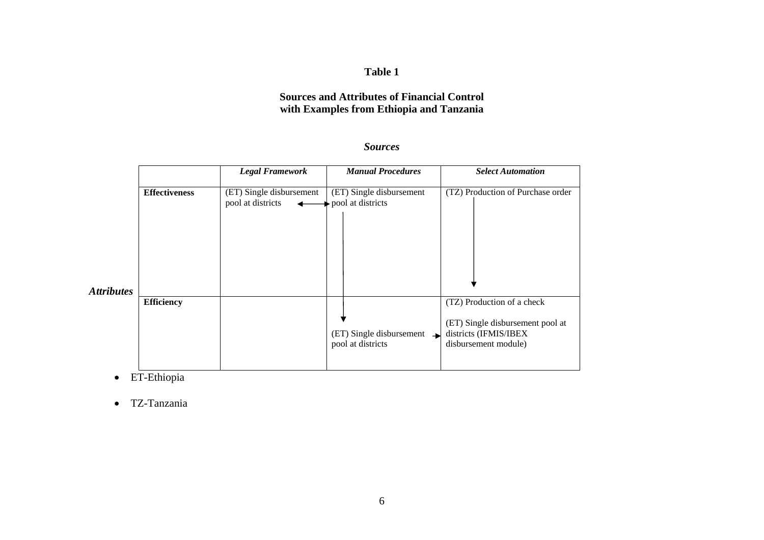#### **Table 1**

## **Sources and Attributes of Financial Control with Examples from Ethiopia and Tanzania**

#### *Sources*

|                   |                      | <b>Legal Framework</b>                        | <b>Manual Procedures</b>                                      | <b>Select Automation</b>                                                                                        |  |  |
|-------------------|----------------------|-----------------------------------------------|---------------------------------------------------------------|-----------------------------------------------------------------------------------------------------------------|--|--|
|                   | <b>Effectiveness</b> | (ET) Single disbursement<br>pool at districts | (ET) Single disbursement<br>$\rightarrow$ pool at districts   | (TZ) Production of Purchase order                                                                               |  |  |
| <b>Attributes</b> |                      |                                               |                                                               |                                                                                                                 |  |  |
|                   | <b>Efficiency</b>    |                                               | $(ET)$ Single disbursement $\rightarrow$<br>pool at districts | (TZ) Production of a check<br>(ET) Single disbursement pool at<br>districts (IFMIS/IBEX<br>disbursement module) |  |  |

• ET-Ethiopia

• TZ-Tanzania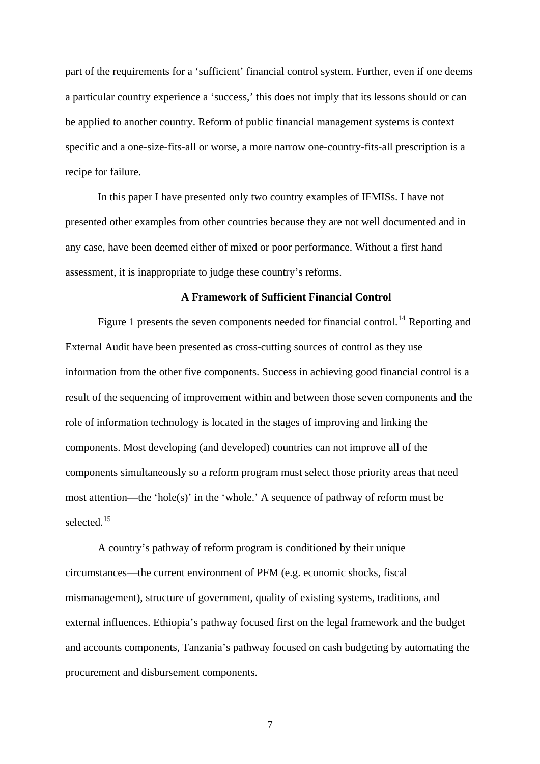part of the requirements for a 'sufficient' financial control system. Further, even if one deems a particular country experience a 'success,' this does not imply that its lessons should or can be applied to another country. Reform of public financial management systems is context specific and a one-size-fits-all or worse, a more narrow one-country-fits-all prescription is a recipe for failure.

In this paper I have presented only two country examples of IFMISs. I have not presented other examples from other countries because they are not well documented and in any case, have been deemed either of mixed or poor performance. Without a first hand assessment, it is inappropriate to judge these country's reforms.

#### **A Framework of Sufficient Financial Control**

Figure 1 presents the seven components needed for financial control.<sup>[14](#page-58-0)</sup> Reporting and External Audit have been presented as cross-cutting sources of control as they use information from the other five components. Success in achieving good financial control is a result of the sequencing of improvement within and between those seven components and the role of information technology is located in the stages of improving and linking the components. Most developing (and developed) countries can not improve all of the components simultaneously so a reform program must select those priority areas that need most attention—the 'hole(s)' in the 'whole.' A sequence of pathway of reform must be selected.<sup>[15](#page-58-0)</sup>

A country's pathway of reform program is conditioned by their unique circumstances—the current environment of PFM (e.g. economic shocks, fiscal mismanagement), structure of government, quality of existing systems, traditions, and external influences. Ethiopia's pathway focused first on the legal framework and the budget and accounts components, Tanzania's pathway focused on cash budgeting by automating the procurement and disbursement components.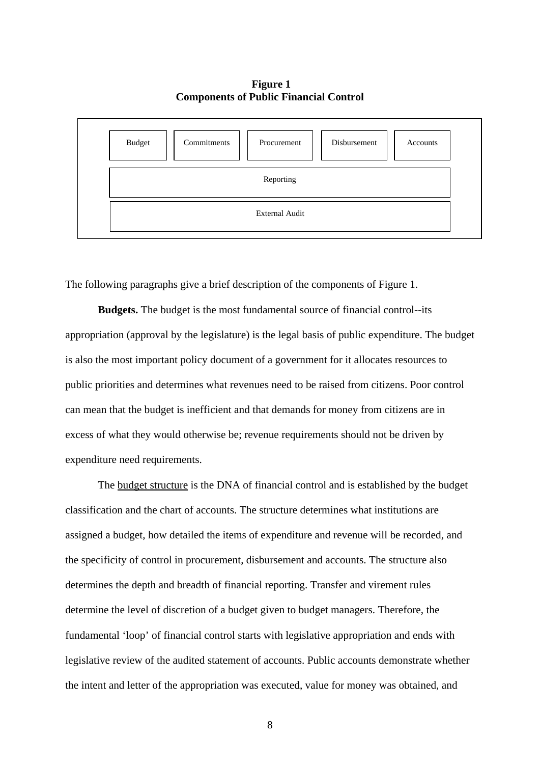## **Figure 1 Components of Public Financial Control**



The following paragraphs give a brief description of the components of Figure 1.

**Budgets.** The budget is the most fundamental source of financial control--its appropriation (approval by the legislature) is the legal basis of public expenditure. The budget is also the most important policy document of a government for it allocates resources to public priorities and determines what revenues need to be raised from citizens. Poor control can mean that the budget is inefficient and that demands for money from citizens are in excess of what they would otherwise be; revenue requirements should not be driven by expenditure need requirements.

The budget structure is the DNA of financial control and is established by the budget classification and the chart of accounts. The structure determines what institutions are assigned a budget, how detailed the items of expenditure and revenue will be recorded, and the specificity of control in procurement, disbursement and accounts. The structure also determines the depth and breadth of financial reporting. Transfer and virement rules determine the level of discretion of a budget given to budget managers. Therefore, the fundamental 'loop' of financial control starts with legislative appropriation and ends with legislative review of the audited statement of accounts. Public accounts demonstrate whether the intent and letter of the appropriation was executed, value for money was obtained, and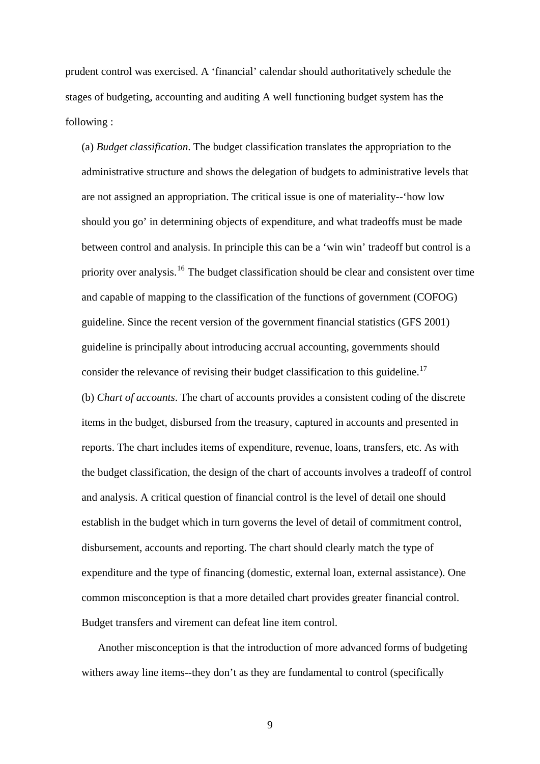prudent control was exercised. A 'financial' calendar should authoritatively schedule the stages of budgeting, accounting and auditing A well functioning budget system has the following :

(a) *Budget classification*. The budget classification translates the appropriation to the administrative structure and shows the delegation of budgets to administrative levels that are not assigned an appropriation. The critical issue is one of materiality--'how low should you go' in determining objects of expenditure, and what tradeoffs must be made between control and analysis. In principle this can be a 'win win' tradeoff but control is a priority over analysis.<sup>[16](#page-58-0)</sup> The budget classification should be clear and consistent over time and capable of mapping to the classification of the functions of government (COFOG) guideline. Since the recent version of the government financial statistics (GFS 2001) guideline is principally about introducing accrual accounting, governments should consider the relevance of revising their budget classification to this guideline.<sup>[17](#page-58-0)</sup> (b) *Chart of accounts*. The chart of accounts provides a consistent coding of the discrete items in the budget, disbursed from the treasury, captured in accounts and presented in reports. The chart includes items of expenditure, revenue, loans, transfers, etc. As with the budget classification, the design of the chart of accounts involves a tradeoff of control and analysis. A critical question of financial control is the level of detail one should establish in the budget which in turn governs the level of detail of commitment control, disbursement, accounts and reporting. The chart should clearly match the type of expenditure and the type of financing (domestic, external loan, external assistance). One common misconception is that a more detailed chart provides greater financial control. Budget transfers and virement can defeat line item control.

Another misconception is that the introduction of more advanced forms of budgeting withers away line items--they don't as they are fundamental to control (specifically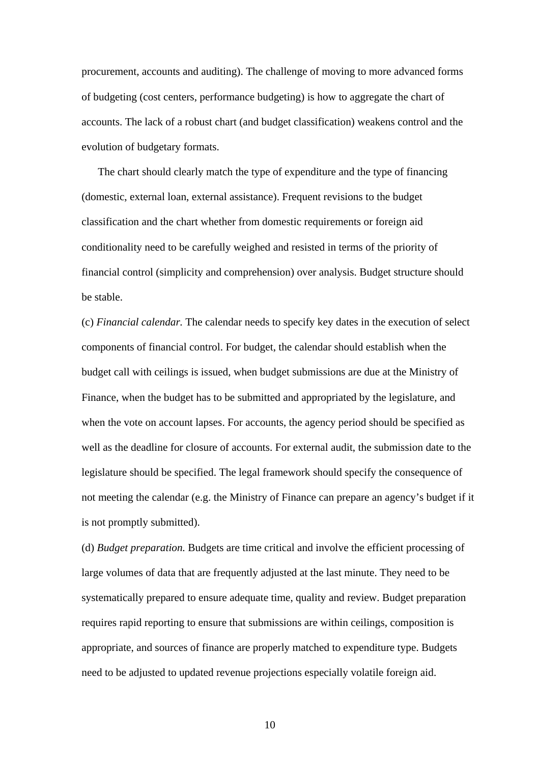procurement, accounts and auditing). The challenge of moving to more advanced forms of budgeting (cost centers, performance budgeting) is how to aggregate the chart of accounts. The lack of a robust chart (and budget classification) weakens control and the evolution of budgetary formats.

The chart should clearly match the type of expenditure and the type of financing (domestic, external loan, external assistance). Frequent revisions to the budget classification and the chart whether from domestic requirements or foreign aid conditionality need to be carefully weighed and resisted in terms of the priority of financial control (simplicity and comprehension) over analysis. Budget structure should be stable.

(c) *Financial calendar.* The calendar needs to specify key dates in the execution of select components of financial control. For budget, the calendar should establish when the budget call with ceilings is issued, when budget submissions are due at the Ministry of Finance, when the budget has to be submitted and appropriated by the legislature, and when the vote on account lapses. For accounts, the agency period should be specified as well as the deadline for closure of accounts. For external audit, the submission date to the legislature should be specified. The legal framework should specify the consequence of not meeting the calendar (e.g. the Ministry of Finance can prepare an agency's budget if it is not promptly submitted).

(d) *Budget preparation.* Budgets are time critical and involve the efficient processing of large volumes of data that are frequently adjusted at the last minute. They need to be systematically prepared to ensure adequate time, quality and review. Budget preparation requires rapid reporting to ensure that submissions are within ceilings, composition is appropriate, and sources of finance are properly matched to expenditure type. Budgets need to be adjusted to updated revenue projections especially volatile foreign aid.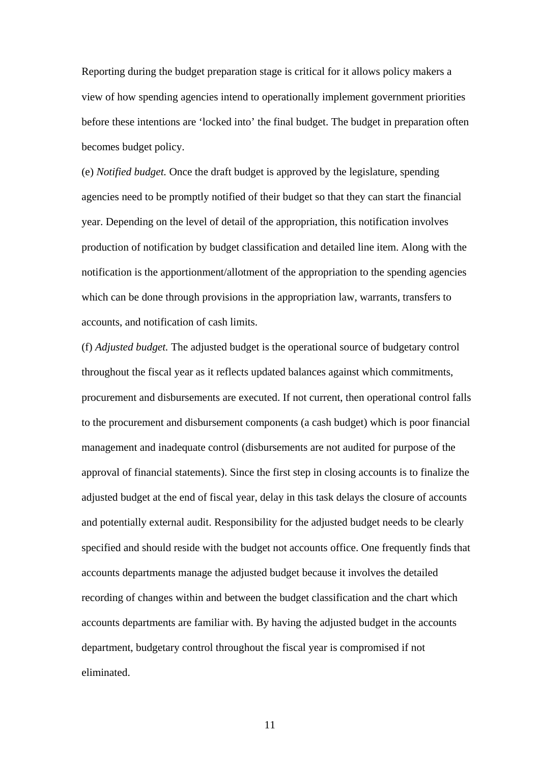Reporting during the budget preparation stage is critical for it allows policy makers a view of how spending agencies intend to operationally implement government priorities before these intentions are 'locked into' the final budget. The budget in preparation often becomes budget policy.

(e) *Notified budget.* Once the draft budget is approved by the legislature, spending agencies need to be promptly notified of their budget so that they can start the financial year. Depending on the level of detail of the appropriation, this notification involves production of notification by budget classification and detailed line item. Along with the notification is the apportionment/allotment of the appropriation to the spending agencies which can be done through provisions in the appropriation law, warrants, transfers to accounts, and notification of cash limits.

(f) *Adjusted budget.* The adjusted budget is the operational source of budgetary control throughout the fiscal year as it reflects updated balances against which commitments, procurement and disbursements are executed. If not current, then operational control falls to the procurement and disbursement components (a cash budget) which is poor financial management and inadequate control (disbursements are not audited for purpose of the approval of financial statements). Since the first step in closing accounts is to finalize the adjusted budget at the end of fiscal year, delay in this task delays the closure of accounts and potentially external audit. Responsibility for the adjusted budget needs to be clearly specified and should reside with the budget not accounts office. One frequently finds that accounts departments manage the adjusted budget because it involves the detailed recording of changes within and between the budget classification and the chart which accounts departments are familiar with. By having the adjusted budget in the accounts department, budgetary control throughout the fiscal year is compromised if not eliminated.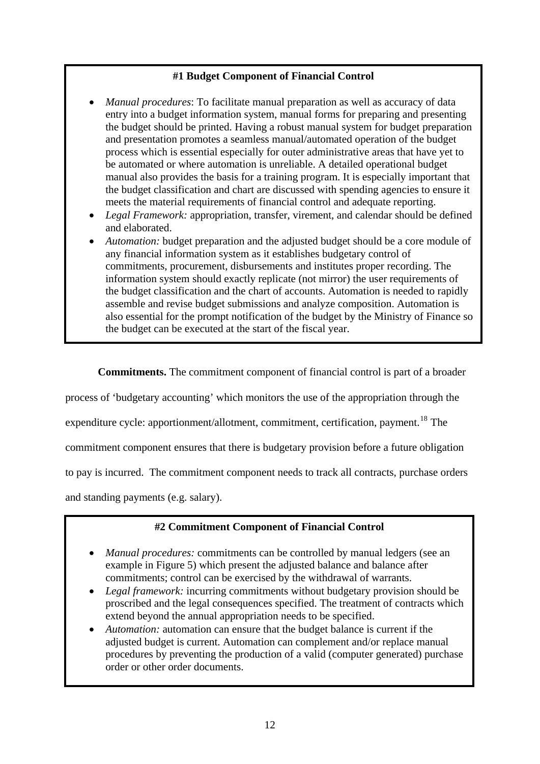# **#1 Budget Component of Financial Control**

- *Manual procedures*: To facilitate manual preparation as well as accuracy of data entry into a budget information system, manual forms for preparing and presenting the budget should be printed. Having a robust manual system for budget preparation and presentation promotes a seamless manual/automated operation of the budget process which is essential especially for outer administrative areas that have yet to be automated or where automation is unreliable. A detailed operational budget manual also provides the basis for a training program. It is especially important that the budget classification and chart are discussed with spending agencies to ensure it meets the material requirements of financial control and adequate reporting.
- *Legal Framework:* appropriation, transfer, virement, and calendar should be defined and elaborated.
- *Automation:* budget preparation and the adjusted budget should be a core module of any financial information system as it establishes budgetary control of commitments, procurement, disbursements and institutes proper recording. The information system should exactly replicate (not mirror) the user requirements of the budget classification and the chart of accounts. Automation is needed to rapidly assemble and revise budget submissions and analyze composition. Automation is also essential for the prompt notification of the budget by the Ministry of Finance so the budget can be executed at the start of the fiscal year.

**Commitments.** The commitment component of financial control is part of a broader

process of 'budgetary accounting' which monitors the use of the appropriation through the

expenditure cycle: apportionment/allotment, commitment, certification, payment.<sup>[18](#page-58-0)</sup> The

commitment component ensures that there is budgetary provision before a future obligation

to pay is incurred. The commitment component needs to track all contracts, purchase orders

and standing payments (e.g. salary).

## **#2 Commitment Component of Financial Control**

- *Manual procedures:* commitments can be controlled by manual ledgers (see an example in Figure 5) which present the adjusted balance and balance after commitments; control can be exercised by the withdrawal of warrants.
- *Legal framework:* incurring commitments without budgetary provision should be proscribed and the legal consequences specified. The treatment of contracts which extend beyond the annual appropriation needs to be specified.
- *Automation:* automation can ensure that the budget balance is current if the adjusted budget is current. Automation can complement and/or replace manual procedures by preventing the production of a valid (computer generated) purchase order or other order documents.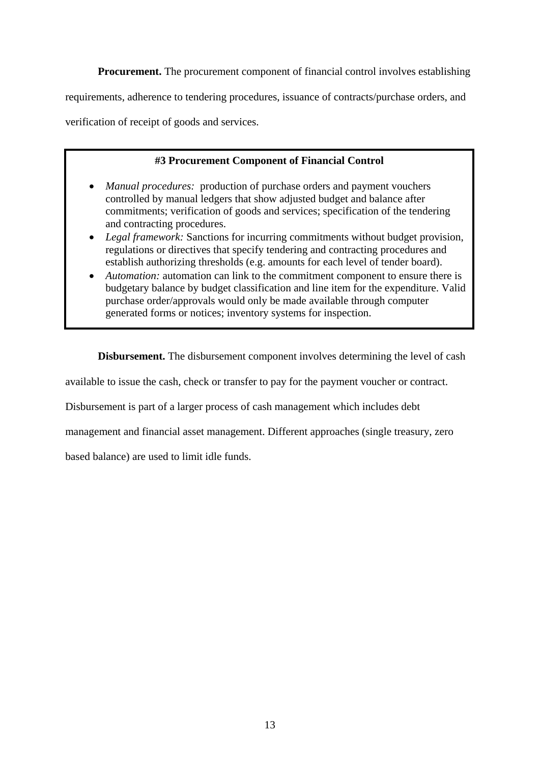**Procurement.** The procurement component of financial control involves establishing

requirements, adherence to tendering procedures, issuance of contracts/purchase orders, and

verification of receipt of goods and services.

# **#3 Procurement Component of Financial Control**

- *Manual procedures:* production of purchase orders and payment vouchers controlled by manual ledgers that show adjusted budget and balance after commitments; verification of goods and services; specification of the tendering and contracting procedures.
- *Legal framework:* Sanctions for incurring commitments without budget provision, regulations or directives that specify tendering and contracting procedures and establish authorizing thresholds (e.g. amounts for each level of tender board).
- *Automation:* automation can link to the commitment component to ensure there is budgetary balance by budget classification and line item for the expenditure. Valid purchase order/approvals would only be made available through computer generated forms or notices; inventory systems for inspection.

**Disbursement.** The disbursement component involves determining the level of cash

available to issue the cash, check or transfer to pay for the payment voucher or contract.

Disbursement is part of a larger process of cash management which includes debt

management and financial asset management. Different approaches (single treasury, zero

based balance) are used to limit idle funds.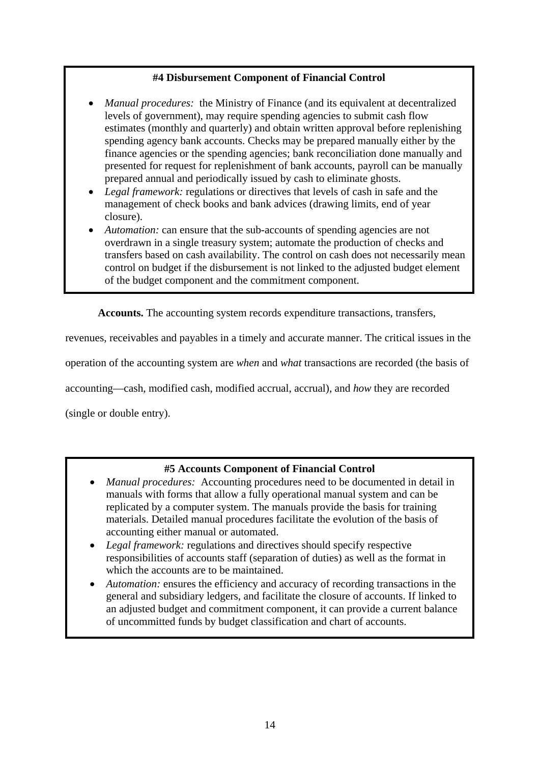# **#4 Disbursement Component of Financial Control**

- *Manual procedures:* the Ministry of Finance (and its equivalent at decentralized levels of government), may require spending agencies to submit cash flow estimates (monthly and quarterly) and obtain written approval before replenishing spending agency bank accounts. Checks may be prepared manually either by the finance agencies or the spending agencies; bank reconciliation done manually and presented for request for replenishment of bank accounts, payroll can be manually prepared annual and periodically issued by cash to eliminate ghosts.
- *Legal framework:* regulations or directives that levels of cash in safe and the management of check books and bank advices (drawing limits, end of year closure).
- Automation: can ensure that the sub-accounts of spending agencies are not overdrawn in a single treasury system; automate the production of checks and transfers based on cash availability. The control on cash does not necessarily mean control on budget if the disbursement is not linked to the adjusted budget element of the budget component and the commitment component.

**Accounts.** The accounting system records expenditure transactions, transfers,

revenues, receivables and payables in a timely and accurate manner. The critical issues in the

operation of the accounting system are *when* and *what* transactions are recorded (the basis of

accounting—cash, modified cash, modified accrual, accrual), and *how* they are recorded

(single or double entry).

# **#5 Accounts Component of Financial Control**

- *Manual procedures:* Accounting procedures need to be documented in detail in manuals with forms that allow a fully operational manual system and can be replicated by a computer system. The manuals provide the basis for training materials. Detailed manual procedures facilitate the evolution of the basis of accounting either manual or automated.
- *Legal framework:* regulations and directives should specify respective responsibilities of accounts staff (separation of duties) as well as the format in which the accounts are to be maintained.
- *Automation:* ensures the efficiency and accuracy of recording transactions in the general and subsidiary ledgers, and facilitate the closure of accounts. If linked to an adjusted budget and commitment component, it can provide a current balance of uncommitted funds by budget classification and chart of accounts.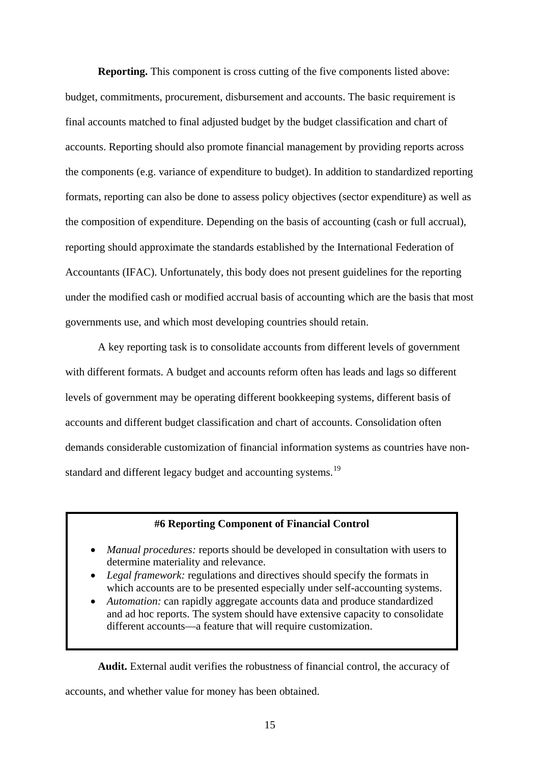**Reporting.** This component is cross cutting of the five components listed above: budget, commitments, procurement, disbursement and accounts. The basic requirement is final accounts matched to final adjusted budget by the budget classification and chart of accounts. Reporting should also promote financial management by providing reports across the components (e.g. variance of expenditure to budget). In addition to standardized reporting formats, reporting can also be done to assess policy objectives (sector expenditure) as well as the composition of expenditure. Depending on the basis of accounting (cash or full accrual), reporting should approximate the standards established by the International Federation of Accountants (IFAC). Unfortunately, this body does not present guidelines for the reporting under the modified cash or modified accrual basis of accounting which are the basis that most governments use, and which most developing countries should retain.

A key reporting task is to consolidate accounts from different levels of government with different formats. A budget and accounts reform often has leads and lags so different levels of government may be operating different bookkeeping systems, different basis of accounts and different budget classification and chart of accounts. Consolidation often demands considerable customization of financial information systems as countries have non-standard and different legacy budget and accounting systems.<sup>[19](#page-58-0)</sup>

## **#6 Reporting Component of Financial Control**

- *Manual procedures:* reports should be developed in consultation with users to determine materiality and relevance.
- *Legal framework:* regulations and directives should specify the formats in which accounts are to be presented especially under self-accounting systems.
- *Automation:* can rapidly aggregate accounts data and produce standardized and ad hoc reports. The system should have extensive capacity to consolidate different accounts—a feature that will require customization.

**Audit.** External audit verifies the robustness of financial control, the accuracy of

accounts, and whether value for money has been obtained.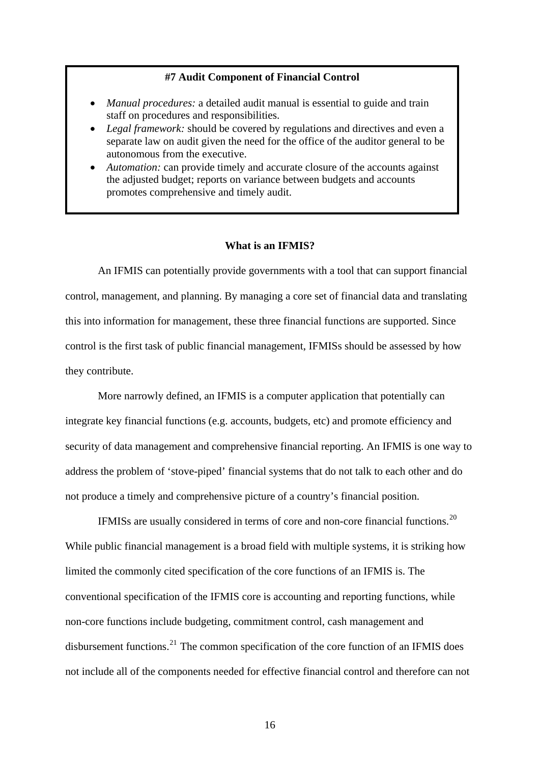#### **#7 Audit Component of Financial Control**

- *Manual procedures:* a detailed audit manual is essential to guide and train staff on procedures and responsibilities.
- *Legal framework:* should be covered by regulations and directives and even a separate law on audit given the need for the office of the auditor general to be autonomous from the executive.
- *Automation:* can provide timely and accurate closure of the accounts against the adjusted budget; reports on variance between budgets and accounts promotes comprehensive and timely audit.

## **What is an IFMIS?**

An IFMIS can potentially provide governments with a tool that can support financial control, management, and planning. By managing a core set of financial data and translating this into information for management, these three financial functions are supported. Since control is the first task of public financial management, IFMISs should be assessed by how they contribute.

More narrowly defined, an IFMIS is a computer application that potentially can integrate key financial functions (e.g. accounts, budgets, etc) and promote efficiency and security of data management and comprehensive financial reporting. An IFMIS is one way to address the problem of 'stove-piped' financial systems that do not talk to each other and do not produce a timely and comprehensive picture of a country's financial position.

IFMISs are usually considered in terms of core and non-core financial functions.[20](#page-58-0) While public financial management is a broad field with multiple systems, it is striking how limited the commonly cited specification of the core functions of an IFMIS is. The conventional specification of the IFMIS core is accounting and reporting functions, while non-core functions include budgeting, commitment control, cash management and disbursement functions.<sup>[21](#page-58-0)</sup> The common specification of the core function of an IFMIS does not include all of the components needed for effective financial control and therefore can not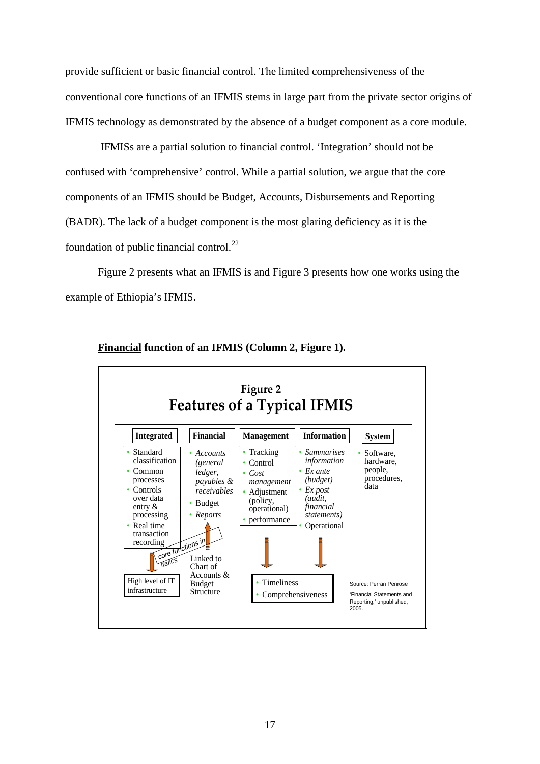provide sufficient or basic financial control. The limited comprehensiveness of the conventional core functions of an IFMIS stems in large part from the private sector origins of IFMIS technology as demonstrated by the absence of a budget component as a core module.

 IFMISs are a partial solution to financial control. 'Integration' should not be confused with 'comprehensive' control. While a partial solution, we argue that the core components of an IFMIS should be Budget, Accounts, Disbursements and Reporting (BADR). The lack of a budget component is the most glaring deficiency as it is the foundation of public financial control. $^{22}$  $^{22}$  $^{22}$ 

Figure 2 presents what an IFMIS is and Figure 3 presents how one works using the example of Ethiopia's IFMIS.



**Financial function of an IFMIS (Column 2, Figure 1).**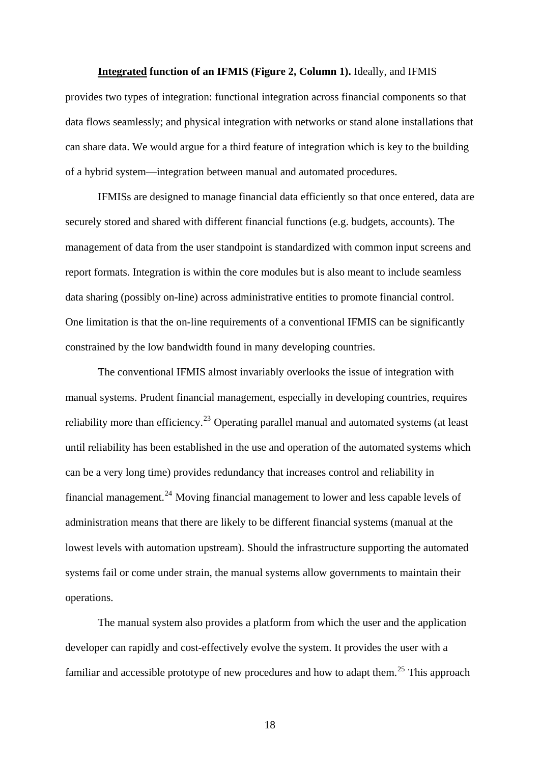#### **Integrated function of an IFMIS (Figure 2, Column 1).** Ideally, and IFMIS

provides two types of integration: functional integration across financial components so that data flows seamlessly; and physical integration with networks or stand alone installations that can share data. We would argue for a third feature of integration which is key to the building of a hybrid system—integration between manual and automated procedures.

IFMISs are designed to manage financial data efficiently so that once entered, data are securely stored and shared with different financial functions (e.g. budgets, accounts). The management of data from the user standpoint is standardized with common input screens and report formats. Integration is within the core modules but is also meant to include seamless data sharing (possibly on-line) across administrative entities to promote financial control. One limitation is that the on-line requirements of a conventional IFMIS can be significantly constrained by the low bandwidth found in many developing countries.

The conventional IFMIS almost invariably overlooks the issue of integration with manual systems. Prudent financial management, especially in developing countries, requires reliability more than efficiency.<sup>[23](#page-59-0)</sup> Operating parallel manual and automated systems (at least until reliability has been established in the use and operation of the automated systems which can be a very long time) provides redundancy that increases control and reliability in financial management.<sup>[24](#page-59-0)</sup> Moving financial management to lower and less capable levels of administration means that there are likely to be different financial systems (manual at the lowest levels with automation upstream). Should the infrastructure supporting the automated systems fail or come under strain, the manual systems allow governments to maintain their operations.

The manual system also provides a platform from which the user and the application developer can rapidly and cost-effectively evolve the system. It provides the user with a familiar and accessible prototype of new procedures and how to adapt them.<sup>[25](#page-59-0)</sup> This approach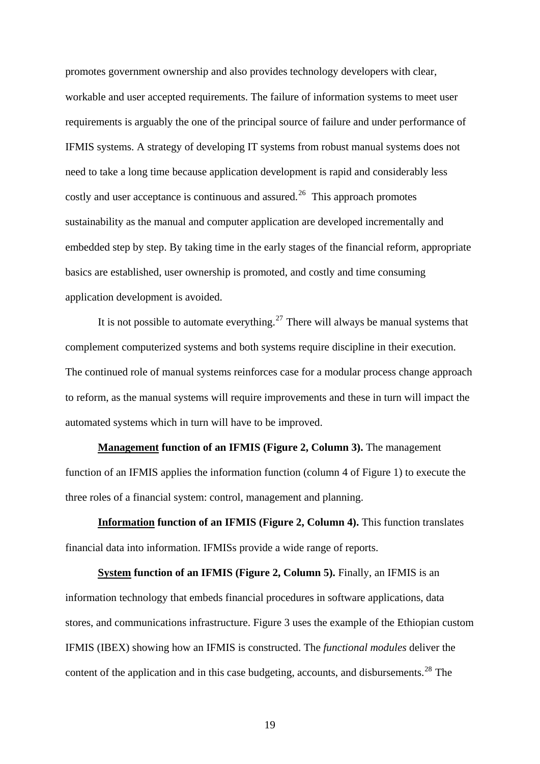promotes government ownership and also provides technology developers with clear, workable and user accepted requirements. The failure of information systems to meet user requirements is arguably the one of the principal source of failure and under performance of IFMIS systems. A strategy of developing IT systems from robust manual systems does not need to take a long time because application development is rapid and considerably less costly and user acceptance is continuous and assured.<sup>[26](#page-59-0)</sup> This approach promotes sustainability as the manual and computer application are developed incrementally and embedded step by step. By taking time in the early stages of the financial reform, appropriate basics are established, user ownership is promoted, and costly and time consuming application development is avoided.

It is not possible to automate everything.<sup>[27](#page-59-0)</sup> There will always be manual systems that complement computerized systems and both systems require discipline in their execution. The continued role of manual systems reinforces case for a modular process change approach to reform, as the manual systems will require improvements and these in turn will impact the automated systems which in turn will have to be improved.

**Management function of an IFMIS (Figure 2, Column 3).** The management function of an IFMIS applies the information function (column 4 of Figure 1) to execute the three roles of a financial system: control, management and planning.

**Information function of an IFMIS (Figure 2, Column 4).** This function translates financial data into information. IFMISs provide a wide range of reports.

**System function of an IFMIS (Figure 2, Column 5).** Finally, an IFMIS is an information technology that embeds financial procedures in software applications, data stores, and communications infrastructure. Figure 3 uses the example of the Ethiopian custom IFMIS (IBEX) showing how an IFMIS is constructed. The *functional modules* deliver the content of the application and in this case budgeting, accounts, and disbursements.<sup>[28](#page-60-0)</sup> The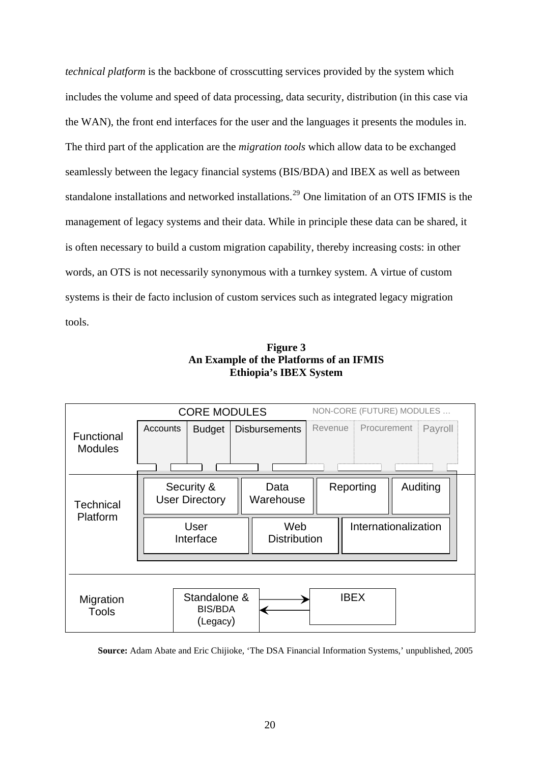*technical platform* is the backbone of crosscutting services provided by the system which includes the volume and speed of data processing, data security, distribution (in this case via the WAN), the front end interfaces for the user and the languages it presents the modules in. The third part of the application are the *migration tools* which allow data to be exchanged seamlessly between the legacy financial systems (BIS/BDA) and IBEX as well as between standalone installations and networked installations.<sup>[29](#page-60-0)</sup> One limitation of an OTS IFMIS is the management of legacy systems and their data. While in principle these data can be shared, it is often necessary to build a custom migration capability, thereby increasing costs: in other words, an OTS is not necessarily synonymous with a turnkey system. A virtue of custom systems is their de facto inclusion of custom services such as integrated legacy migration tools.





**Source:** Adam Abate and Eric Chijioke, 'The DSA Financial Information Systems,' unpublished, 2005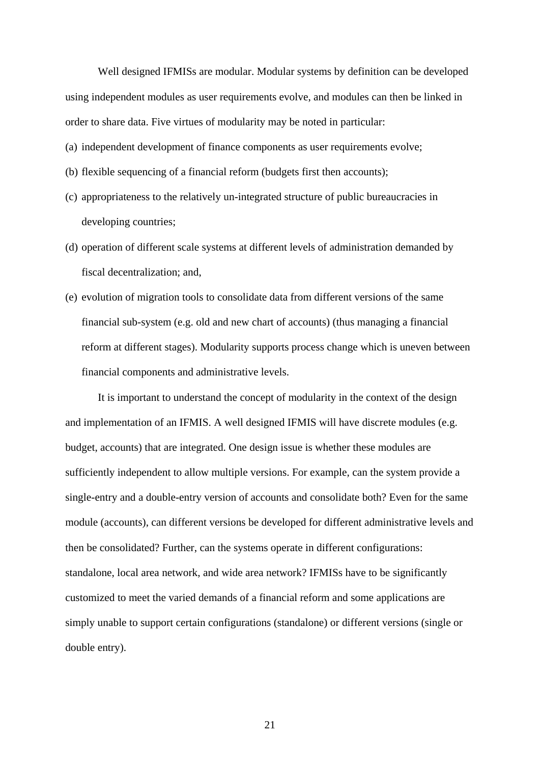Well designed IFMISs are modular. Modular systems by definition can be developed using independent modules as user requirements evolve, and modules can then be linked in order to share data. Five virtues of modularity may be noted in particular:

(a) independent development of finance components as user requirements evolve;

- (b) flexible sequencing of a financial reform (budgets first then accounts);
- (c) appropriateness to the relatively un-integrated structure of public bureaucracies in developing countries;
- (d) operation of different scale systems at different levels of administration demanded by fiscal decentralization; and,
- (e) evolution of migration tools to consolidate data from different versions of the same financial sub-system (e.g. old and new chart of accounts) (thus managing a financial reform at different stages). Modularity supports process change which is uneven between financial components and administrative levels.

It is important to understand the concept of modularity in the context of the design and implementation of an IFMIS. A well designed IFMIS will have discrete modules (e.g. budget, accounts) that are integrated. One design issue is whether these modules are sufficiently independent to allow multiple versions. For example, can the system provide a single-entry and a double-entry version of accounts and consolidate both? Even for the same module (accounts), can different versions be developed for different administrative levels and then be consolidated? Further, can the systems operate in different configurations: standalone, local area network, and wide area network? IFMISs have to be significantly customized to meet the varied demands of a financial reform and some applications are simply unable to support certain configurations (standalone) or different versions (single or double entry).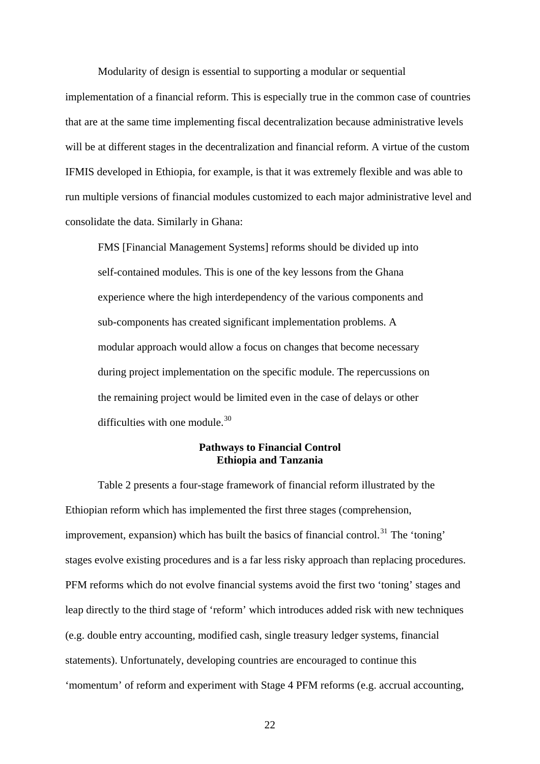Modularity of design is essential to supporting a modular or sequential

implementation of a financial reform. This is especially true in the common case of countries that are at the same time implementing fiscal decentralization because administrative levels will be at different stages in the decentralization and financial reform. A virtue of the custom IFMIS developed in Ethiopia, for example, is that it was extremely flexible and was able to run multiple versions of financial modules customized to each major administrative level and consolidate the data. Similarly in Ghana:

FMS [Financial Management Systems] reforms should be divided up into self-contained modules. This is one of the key lessons from the Ghana experience where the high interdependency of the various components and sub-components has created significant implementation problems. A modular approach would allow a focus on changes that become necessary during project implementation on the specific module. The repercussions on the remaining project would be limited even in the case of delays or other difficulties with one module. $30$ 

## **Pathways to Financial Control Ethiopia and Tanzania**

Table 2 presents a four-stage framework of financial reform illustrated by the Ethiopian reform which has implemented the first three stages (comprehension, improvement, expansion) which has built the basics of financial control.<sup>[31](#page-60-0)</sup> The 'toning' stages evolve existing procedures and is a far less risky approach than replacing procedures. PFM reforms which do not evolve financial systems avoid the first two 'toning' stages and leap directly to the third stage of 'reform' which introduces added risk with new techniques (e.g. double entry accounting, modified cash, single treasury ledger systems, financial statements). Unfortunately, developing countries are encouraged to continue this 'momentum' of reform and experiment with Stage 4 PFM reforms (e.g. accrual accounting,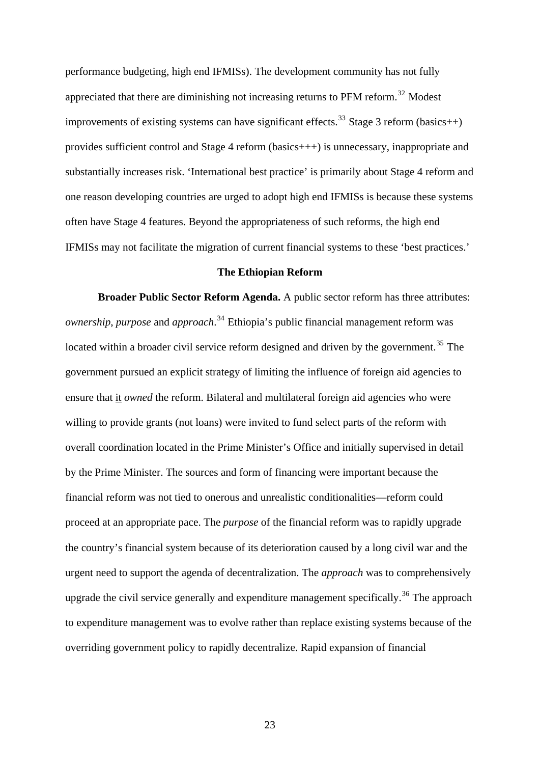performance budgeting, high end IFMISs). The development community has not fully appreciated that there are diminishing not increasing returns to  $PFM$  reform.<sup>[32](#page-60-0)</sup> Modest improvements of existing systems can have significant effects.<sup>[33](#page-60-0)</sup> Stage 3 reform (basics++) provides sufficient control and Stage 4 reform (basics+++) is unnecessary, inappropriate and substantially increases risk. 'International best practice' is primarily about Stage 4 reform and one reason developing countries are urged to adopt high end IFMISs is because these syste ms often have Stage 4 features. Beyond the appropriateness of such reforms, the high end IFMISs may not facilitate the migration of current financial systems to these 'bes t practices.'

## **The Ethiopian Reform**

**Broader Public Sector Reform Agenda.** A public sector reform has three attributes: *ownership*, *purpose* and *approach*. [34](#page-60-0) Ethiopia's public financial management reform was located within a broader civil service reform designed and driven by the government.<sup>[35](#page-60-0)</sup> The government pursued an explicit strategy of limiting the influence of foreign aid agencies to ensure that it *owned* the reform. Bilateral and multilateral foreign aid agencies who were willing to provide grants (not loans) were invited to fund select parts of the reform with overall coordination located in the Prime Minister's Office and initially supervised in detail by the Prime Minister. The sources and form of financing were important because the financial reform was not tied to onerous and unrealistic conditionalities—reform could proceed at an appropriate pace. The *purpose* of the financial reform was to rapidly upgrade the country's financial system because of its deterioration caused by a long civil war and the urgent need to support the agenda of decentralization. The *approach* was to comprehensively upgrade the civil service generally and expenditure management specifically.<sup>[36](#page-61-0)</sup> The approach to expenditure management was to evolve rather than replace existing systems because of the overriding government policy to rapidly decentralize. Rapid expansion of financial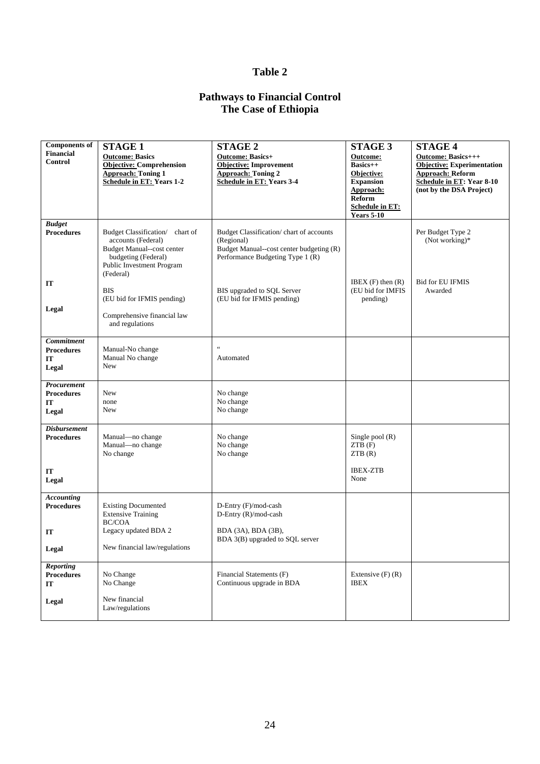# **Table 2**

## **Pathways to Financial Control The Case of Ethiopia**

| <b>Components of</b>                            | <b>STAGE 1</b>                                                                                                                                       | <b>STAGE 2</b>                                                                                                                        | <b>STAGE 3</b>                                                                                                          | <b>STAGE 4</b>                                                                                                                              |
|-------------------------------------------------|------------------------------------------------------------------------------------------------------------------------------------------------------|---------------------------------------------------------------------------------------------------------------------------------------|-------------------------------------------------------------------------------------------------------------------------|---------------------------------------------------------------------------------------------------------------------------------------------|
| <b>Financial</b><br><b>Control</b>              | <b>Outcome: Basics</b><br><b>Objective: Comprehension</b><br><b>Approach: Toning 1</b><br><b>Schedule in ET: Years 1-2</b>                           | <b>Outcome: Basics+</b><br>Objective: Improvement<br><b>Approach: Toning 2</b><br><b>Schedule in ET: Years 3-4</b>                    | <b>Outcome:</b><br>$Basics++$<br>Objective:<br><b>Expansion</b><br>Approach:<br><b>Reform</b><br><b>Schedule in ET:</b> | Outcome: Basics+++<br>Objective: Experimentation<br><b>Approach: Reform</b><br><b>Schedule in ET: Year 8-10</b><br>(not by the DSA Project) |
|                                                 |                                                                                                                                                      |                                                                                                                                       | <b>Years 5-10</b>                                                                                                       |                                                                                                                                             |
| <b>Budget</b><br><b>Procedures</b>              | Budget Classification/ chart of<br>accounts (Federal)<br>Budget Manual--cost center<br>budgeting (Federal)<br>Public Investment Program<br>(Federal) | Budget Classification/chart of accounts<br>(Regional)<br>Budget Manual--cost center budgeting (R)<br>Performance Budgeting Type 1 (R) |                                                                                                                         | Per Budget Type 2<br>(Not working) $*$                                                                                                      |
| IT<br>Legal                                     | <b>BIS</b><br>(EU bid for IFMIS pending)<br>Comprehensive financial law<br>and regulations                                                           | BIS upgraded to SQL Server<br>(EU bid for IFMIS pending)                                                                              | IBEX $(F)$ then $(R)$<br>(EU bid for IMFIS<br>pending)                                                                  | <b>Bid for EU IFMIS</b><br>Awarded                                                                                                          |
| Commitment<br><b>Procedures</b><br>IT<br>Legal  | Manual-No change<br>Manual No change<br><b>New</b>                                                                                                   | $\zeta$ $\zeta$<br>Automated                                                                                                          |                                                                                                                         |                                                                                                                                             |
| Procurement<br><b>Procedures</b><br>IT<br>Legal | New<br>none<br><b>New</b>                                                                                                                            | No change<br>No change<br>No change                                                                                                   |                                                                                                                         |                                                                                                                                             |
| <b>Disbursement</b><br><b>Procedures</b>        | Manual-no change<br>Manual-no change<br>No change                                                                                                    | No change<br>No change<br>No change                                                                                                   | Single pool $(R)$<br>ZTB(F)<br>ZTB(R)                                                                                   |                                                                                                                                             |
| IT<br>Legal                                     |                                                                                                                                                      |                                                                                                                                       | <b>IBEX-ZTB</b><br>None                                                                                                 |                                                                                                                                             |
| <b>Accounting</b><br><b>Procedures</b>          | <b>Existing Documented</b><br><b>Extensive Training</b><br><b>BC/COA</b>                                                                             | D-Entry (F)/mod-cash<br>D-Entry (R)/mod-cash                                                                                          |                                                                                                                         |                                                                                                                                             |
| IT<br>Legal                                     | Legacy updated BDA 2<br>New financial law/regulations                                                                                                | BDA (3A), BDA (3B),<br>BDA 3(B) upgraded to SQL server                                                                                |                                                                                                                         |                                                                                                                                             |
| <b>Reporting</b><br><b>Procedures</b><br>IT     | No Change<br>No Change                                                                                                                               | Financial Statements (F)<br>Continuous upgrade in BDA                                                                                 | Extensive $(F)$ $(R)$<br><b>IBEX</b>                                                                                    |                                                                                                                                             |
| Legal                                           | New financial<br>Law/regulations                                                                                                                     |                                                                                                                                       |                                                                                                                         |                                                                                                                                             |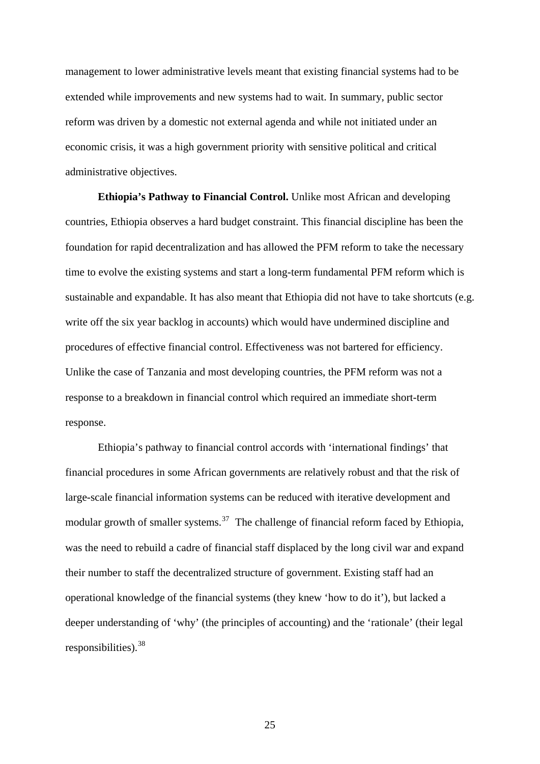management to lower administrative levels meant that existing financial systems had to be extended while improvements and new systems had to wait. In summary, public sector reform was driven by a domestic not external agenda and while not initiated under an economic crisis, it was a high government priority with sensitive political and critical administrative objectives.

**Ethiopia's Pathway to Financial Control.** Unlike most African and developing countries, Ethiopia observes a hard budget constraint. This financial discipline has been the foundation for rapid decentralization and has allowed the PFM reform to take the necessary time to evolve the existing systems and start a long-term fundamental PFM reform which is sustainable and expandable. It has also meant that Ethiopia did not have to take shortcuts (e.g. write off the six year backlog in accounts) which would have undermined discipline and procedures of effective financial control. Effectiveness was not bartered for efficiency. Unlike the case of Tanzania and most developing countries, the PFM reform was not a response to a breakdown in financial control which required an immediate short-term response.

Ethiopia's pathway to financial control accords with 'international findings' that financial procedures in some African governments are relatively robust and that the risk of large-scale financial information systems can be reduced with iterative development and modular growth of smaller systems.<sup>[37](#page-61-0)</sup> The challenge of financial reform faced by Ethiopia, was the need to rebuild a cadre of financial staff displaced by the long civil war and expand their number to staff the decentralized structure of government. Existing staff had an operational knowledge of the financial systems (they knew 'how to do it'), but lacked a deeper understanding of 'why' (the principles of accounting) and the 'rationale' (their legal responsibilities).<sup>[38](#page-61-0)</sup>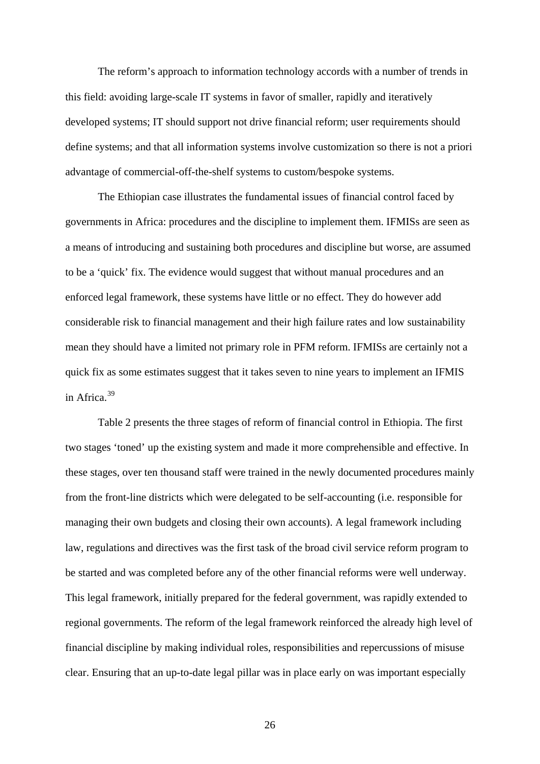The reform's approach to information technology accords with a number of trends in this field: avoiding large-scale IT systems in favor of smaller, rapidly and iteratively developed systems; IT should support not drive financial reform; user requirements should define systems; and that all information systems involve customization so there is not a priori advantage of commercial-off-the-shelf systems to custom/bespoke systems.

The Ethiopian case illustrates the fundamental issues of financial control faced by governments in Africa: procedures and the discipline to implement them. IFMISs are seen as a means of introducing and sustaining both procedures and discipline but worse, are assumed to be a 'quick' fix. The evidence would suggest that without manual procedures and an enforced legal framework, these systems have little or no effect. They do however add considerable risk to financial management and their high failure rates and low sustainability mean they should have a limited not primary role in PFM reform. IFMISs are certainly not a quick fix as some estimates suggest that it takes seven to nine years to implement an IFMIS in Africa.[39](#page-61-0)

Table 2 presents the three stages of reform of financial control in Ethiopia. The first two stages 'toned' up the existing system and made it more comprehensible and effective. In these stages, over ten thousand staff were trained in the newly documented procedures mainly from the front-line districts which were delegated to be self-accounting (i.e. responsible for managing their own budgets and closing their own accounts). A legal framework including law, regulations and directives was the first task of the broad civil service reform program to be started and was completed before any of the other financial reforms were well underway. This legal framework, initially prepared for the federal government, was rapidly extended to regional governments. The reform of the legal framework reinforced the already high level of financial discipline by making individual roles, responsibilities and repercussions of misuse clear. Ensuring that an up-to-date legal pillar was in place early on was important especially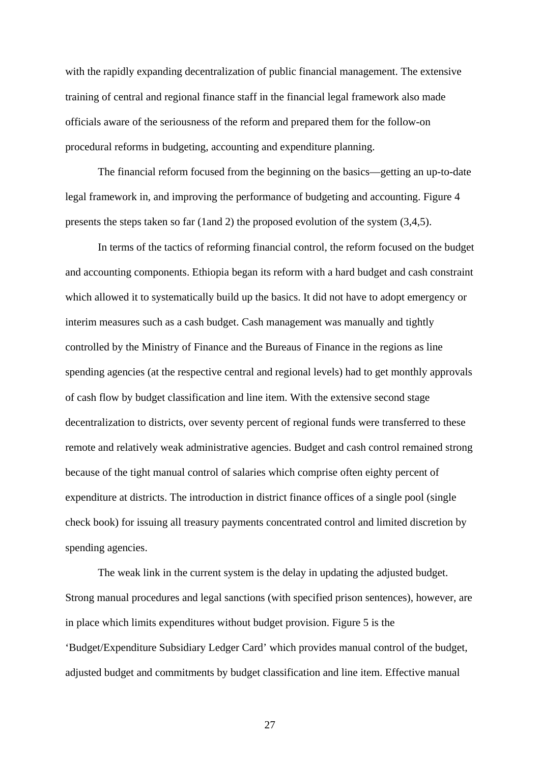with the rapidly expanding decentralization of public financial management. The extensive training of central and regional finance staff in the financial legal framework also made officials aware of the seriousness of the reform and prepared them for the follow-on procedural reforms in budgeting, accounting and expenditure planning.

The financial reform focused from the beginning on the basics—getting an up-to-date legal framework in, and improving the performance of budgeting and accounting. Figure 4 presents the steps taken so far (1and 2) the proposed evolution of the system (3,4,5).

In terms of the tactics of reforming financial control, the reform focused on the budget and accounting components. Ethiopia began its reform with a hard budget and cash constraint which allowed it to systematically build up the basics. It did not have to adopt emergency or interim measures such as a cash budget. Cash management was manually and tightly controlled by the Ministry of Finance and the Bureaus of Finance in the regions as line spending agencies (at the respective central and regional levels) had to get monthly approvals of cash flow by budget classification and line item. With the extensive second stage decentralization to districts, over seventy percent of regional funds were transferred to these remote and relatively weak administrative agencies. Budget and cash control remained strong because of the tight manual control of salaries which comprise often eighty percent of expenditure at districts. The introduction in district finance offices of a single pool (single check book) for issuing all treasury payments concentrated control and limited discretion by spending agencies.

 The weak link in the current system is the delay in updating the adjusted budget. Strong manual procedures and legal sanctions (with specified prison sentences), however, are in place which limits expenditures without budget provision. Figure 5 is the 'Budget/Expenditure Subsidiary Ledger Card' which provides manual control of the budget, adjusted budget and commitments by budget classification and line item. Effective manual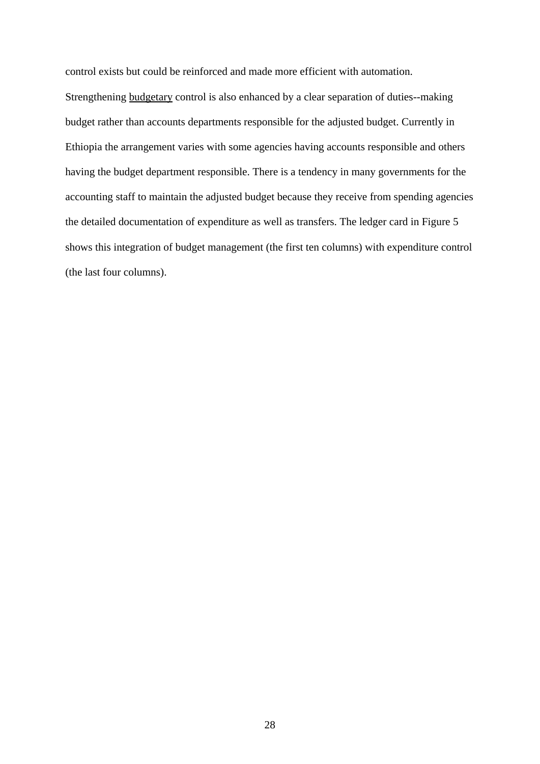control exists but could be reinforced and made more efficient with automation.

Strengthening budgetary control is also enhanced by a clear separation of duties--making budget rather than accounts departments responsible for the adjusted budget. Currently in Ethiopia the arrangement varies with some agencies having accounts responsible and others having the budget department responsible. There is a tendency in many governments for the accounting staff to maintain the adjusted budget because they receive from spending agencies the detailed documentation of expenditure as well as transfers. The ledger card in Figure 5 shows this integration of budget management (the first ten columns) with expenditure control (the last four columns).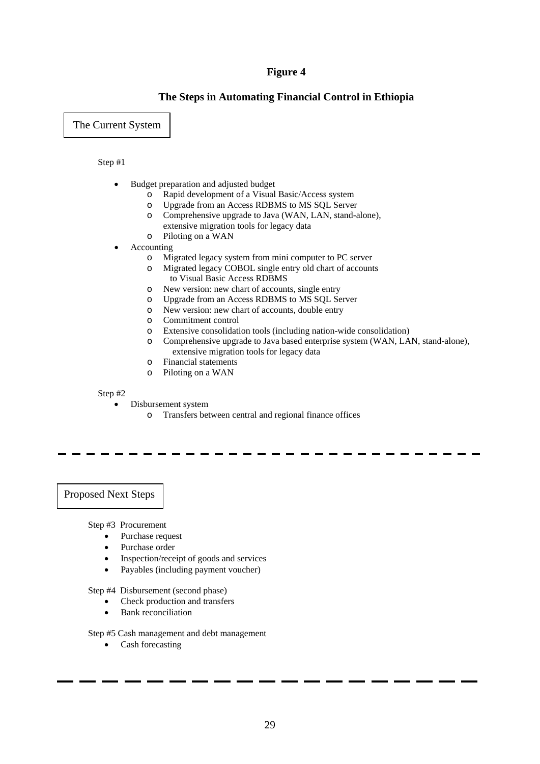## **Figure 4**

## **The Steps in Automating Financial Control in Ethiopia**

The Current System

#### Step #1

- Budget preparation and adjusted budget
	- o Rapid development of a Visual Basic/Access system
	- o Upgrade from an Access RDBMS to MS SQL Server
	- o Comprehensive upgrade to Java (WAN, LAN, stand-alone),
	- extensive migration tools for legacy data
	- o Piloting on a WAN
- **Accounting** 
	- o Migrated legacy system from mini computer to PC server
	- o Migrated legacy COBOL single entry old chart of accounts to Visual Basic Access RDBMS
	- o New version: new chart of accounts, single entry
	- o Upgrade from an Access RDBMS to MS SQL Server
	- o New version: new chart of accounts, double entry
	- o Commitment control
	- o Extensive consolidation tools (including nation-wide consolidation)
	- o Comprehensive upgrade to Java based enterprise system (WAN, LAN, stand-alone), extensive migration tools for legacy data
	- o Financial statements
	- o Piloting on a WAN

#### Step #2

- Disbursement system
	- o Transfers between central and regional finance offices

Proposed Next Steps

Step #3 Procurement

- Purchase request
- Purchase order
- Inspection/receipt of goods and services
- Payables (including payment voucher)

Step #4 Disbursement (second phase)

- Check production and transfers
- Bank reconciliation

Step #5 Cash management and debt management

• Cash forecasting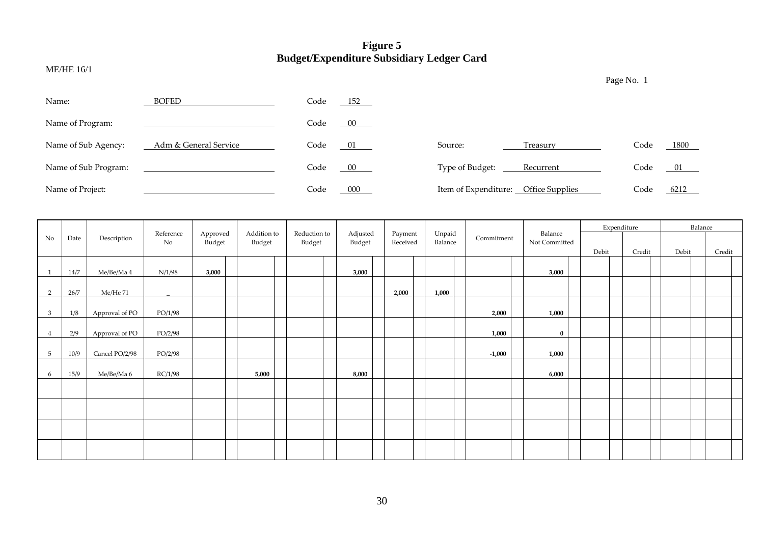## **Figure 5 Budget/Expenditure Subsidiary Ledger Card**

ME/HE 16/1

| Name:                | <b>BOFED</b>          | Code | $-152$ |                      |                        |      |      |
|----------------------|-----------------------|------|--------|----------------------|------------------------|------|------|
| Name of Program:     |                       | Code | 00     |                      |                        |      |      |
| Name of Sub Agency:  | Adm & General Service | Code | 01     | Source:              | Treasury               | Code | 1800 |
| Name of Sub Program: |                       | Code | $00\,$ | Type of Budget:      | Recurrent              | Code | 01   |
| Name of Project:     |                       | Code | 000    | Item of Expenditure: | <b>Office Supplies</b> | Code | 6212 |

|                |      |                |                 |                    |                       |                        |                    |                     |                   |            |                          | Expenditure |        | Balance |        |
|----------------|------|----------------|-----------------|--------------------|-----------------------|------------------------|--------------------|---------------------|-------------------|------------|--------------------------|-------------|--------|---------|--------|
| No             | Date | Description    | Reference<br>No | Approved<br>Budget | Addition to<br>Budget | Reduction to<br>Budget | Adjusted<br>Budget | Payment<br>Received | Unpaid<br>Balance | Commitment | Balance<br>Not Committed |             |        |         |        |
|                |      |                |                 |                    |                       |                        |                    |                     |                   |            |                          | Debit       | Credit | Debit   | Credit |
|                | 14/7 | Me/Be/Ma 4     | N/1/98          | 3,000              |                       |                        | 3,000              |                     |                   |            | 3,000                    |             |        |         |        |
|                |      |                |                 |                    |                       |                        |                    |                     |                   |            |                          |             |        |         |        |
| 2              | 26/7 | Me/He 71       |                 |                    |                       |                        |                    | 2,000               | 1,000             |            |                          |             |        |         |        |
|                |      |                |                 |                    |                       |                        |                    |                     |                   |            |                          |             |        |         |        |
| 3              | 1/8  | Approval of PO | PO/1/98         |                    |                       |                        |                    |                     |                   | 2,000      | 1,000                    |             |        |         |        |
| $\overline{4}$ | 2/9  | Approval of PO | PO/2/98         |                    |                       |                        |                    |                     |                   | 1,000      | $\bf{0}$                 |             |        |         |        |
|                |      |                |                 |                    |                       |                        |                    |                     |                   |            |                          |             |        |         |        |
| 5              | 10/9 | Cancel PO/2/98 | PO/2/98         |                    |                       |                        |                    |                     |                   | $-1,000$   | 1,000                    |             |        |         |        |
| 6              | 15/9 | Me/Be/Ma 6     | RC/1/98         |                    | 5,000                 |                        | 8,000              |                     |                   |            | 6,000                    |             |        |         |        |
|                |      |                |                 |                    |                       |                        |                    |                     |                   |            |                          |             |        |         |        |
|                |      |                |                 |                    |                       |                        |                    |                     |                   |            |                          |             |        |         |        |
|                |      |                |                 |                    |                       |                        |                    |                     |                   |            |                          |             |        |         |        |
|                |      |                |                 |                    |                       |                        |                    |                     |                   |            |                          |             |        |         |        |
|                |      |                |                 |                    |                       |                        |                    |                     |                   |            |                          |             |        |         |        |
|                |      |                |                 |                    |                       |                        |                    |                     |                   |            |                          |             |        |         |        |
|                |      |                |                 |                    |                       |                        |                    |                     |                   |            |                          |             |        |         |        |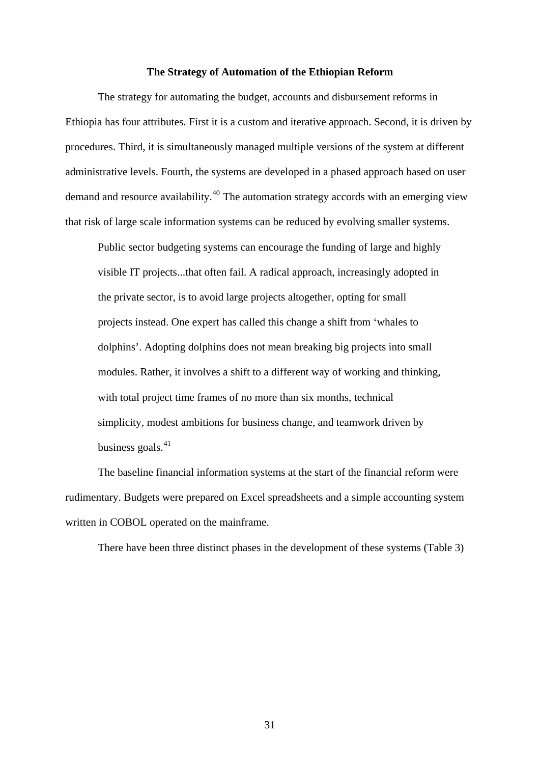#### **The Strategy of Automation of the Ethiopian Reform**

The strategy for automating the budget, accounts and disbursement reforms in Ethiopia has four attributes. First it is a custom and iterative approach. Second, it is driven by procedures. Third, it is simultaneously managed multiple versions of the system at different administrative levels. Fourth, the systems are developed in a phased approach based on user demand and resource availability.[40](#page-61-0) The automation strategy accords with an emerging view that risk of large scale information systems can be reduced by evolving smaller systems.

Public sector budgeting systems can encourage the funding of large and highly visible IT projects...that often fail. A radical approach, increasingly adopted in the private sector, is to avoid large projects altogether, opting for small projects instead. One expert has called this change a shift from 'whales to dolphins'. Adopting dolphins does not mean breaking big projects into small modules. Rather, it involves a shift to a different way of working and thinking, with total project time frames of no more than six months, technical simplicity, modest ambitions for business change, and teamwork driven by business goals. $41$ 

The baseline financial information systems at the start of the financial reform were rudimentary. Budgets were prepared on Excel spreadsheets and a simple accounting system written in COBOL operated on the mainframe.

There have been three distinct phases in the development of these systems (Table 3)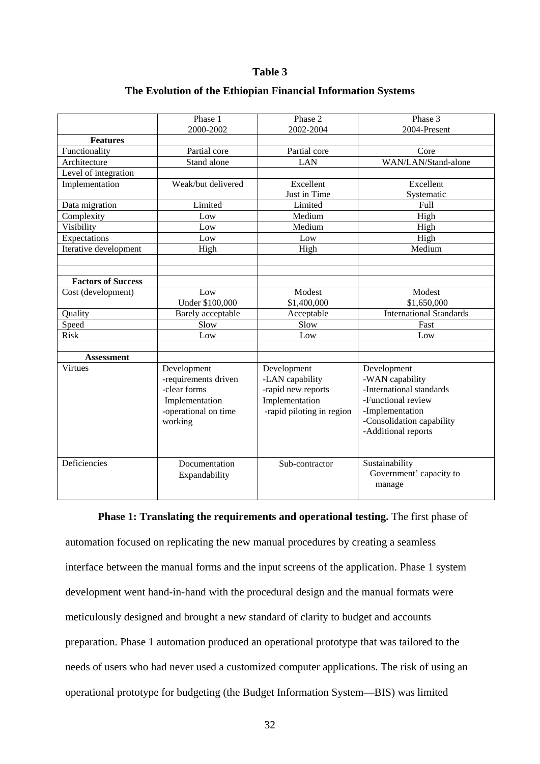### **Table 3**

|                           | Phase 1                | Phase 2                   | Phase 3                        |
|---------------------------|------------------------|---------------------------|--------------------------------|
|                           | 2000-2002              | 2002-2004                 | 2004-Present                   |
| <b>Features</b>           |                        |                           |                                |
| Functionality             | Partial core           | Partial core              | Core                           |
| Architecture              | Stand alone            | <b>LAN</b>                | WAN/LAN/Stand-alone            |
| Level of integration      |                        |                           |                                |
| Implementation            | Weak/but delivered     | Excellent                 | Excellent                      |
|                           |                        | Just in Time              | Systematic                     |
| Data migration            | Limited                | Limited                   | <b>Full</b>                    |
| Complexity                | Low                    | Medium                    | High                           |
| Visibility                | Low                    | Medium                    | High                           |
| Expectations              | Low                    | Low                       | High                           |
| Iterative development     | High                   | High                      | Medium                         |
|                           |                        |                           |                                |
|                           |                        |                           |                                |
| <b>Factors of Success</b> |                        |                           |                                |
| Cost (development)        | Low                    | Modest                    | Modest                         |
|                           | <b>Under \$100,000</b> | \$1,400,000               | \$1,650,000                    |
| Quality                   | Barely acceptable      | Acceptable                | <b>International Standards</b> |
| Speed                     | Slow                   | Slow                      | Fast                           |
| <b>Risk</b>               | Low                    | Low                       | Low                            |
|                           |                        |                           |                                |
| <b>Assessment</b>         |                        |                           |                                |
| <b>Virtues</b>            | Development            | Development               | Development                    |
|                           | -requirements driven   | -LAN capability           | -WAN capability                |
|                           | -clear forms           | -rapid new reports        | -International standards       |
|                           | Implementation         | Implementation            | -Functional review             |
|                           | -operational on time   | -rapid piloting in region | -Implementation                |
|                           | working                |                           | -Consolidation capability      |
|                           |                        |                           |                                |
|                           |                        |                           | -Additional reports            |
|                           |                        |                           |                                |
| Deficiencies              | Documentation          | Sub-contractor            | Sustainability                 |
|                           |                        |                           | Government' capacity to        |
|                           | Expandability          |                           |                                |
|                           |                        |                           | manage                         |
|                           |                        |                           |                                |

## **The Evolution of the Ethiopian Financial Information Systems**

#### **Phase 1: Translating the requirements and operational testing.** The first phase of

automation focused on replicating the new manual procedures by creating a seamless interface between the manual forms and the input screens of the application. Phase 1 system development went hand-in-hand with the procedural design and the manual formats were meticulously designed and brought a new standard of clarity to budget and accounts preparation. Phase 1 automation produced an operational prototype that was tailored to the needs of users who had never used a customized computer applications. The risk of using an operational prototype for budgeting (the Budget Information System—BIS) was limited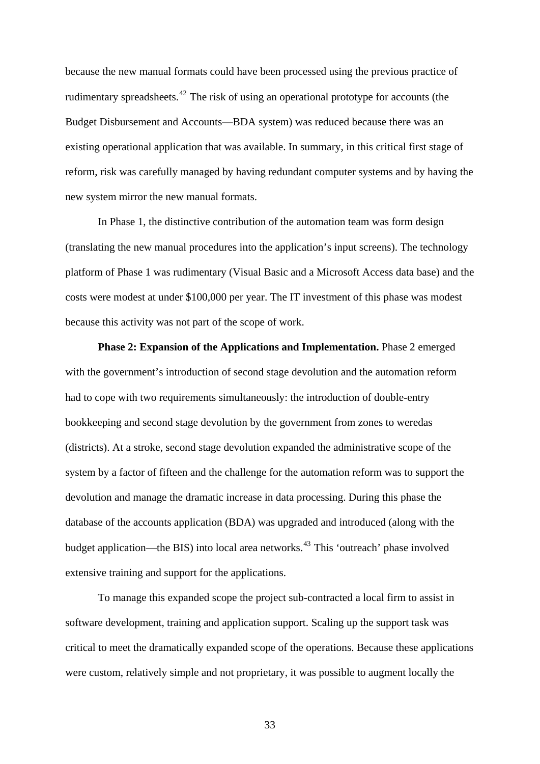because the new manual formats could have been processed using the previous practice of rudimentary spreadsheets.<sup>[42](#page-62-0)</sup> The risk of using an operational prototype for accounts (the Budget Disbursement and Accounts—BDA system) was reduced because there was an existing operational application that was available. In summary, in this critical first stage of reform, risk was carefully managed by having redundant computer systems and by having the new system mirror the new manual formats.

In Phase 1, the distinctive contribution of the automation team was form design (translating the new manual procedures into the application's input screens). The technology platform of Phase 1 was rudimentary (Visual Basic and a Microsoft Access data base) and the costs were modest at under \$100,000 per year. The IT investment of this phase was modest because this activity was not part of the scope of work.

**Phase 2: Expansion of the Applications and Implementation.** Phase 2 emerged with the government's introduction of second stage devolution and the automation reform had to cope with two requirements simultaneously: the introduction of double-entry bookkeeping and second stage devolution by the government from zones to weredas (districts). At a stroke, second stage devolution expanded the administrative scope of the system by a factor of fifteen and the challenge for the automation reform was to support the devolution and manage the dramatic increase in data processing. During this phase the database of the accounts application (BDA) was upgraded and introduced (along with the budget application—the BIS) into local area networks.<sup>[43](#page-62-0)</sup> This 'outreach' phase involved extensive training and support for the applications.

To manage this expanded scope the project sub-contracted a local firm to assist in software development, training and application support. Scaling up the support task was critical to meet the dramatically expanded scope of the operations. Because these applications were custom, relatively simple and not proprietary, it was possible to augment locally the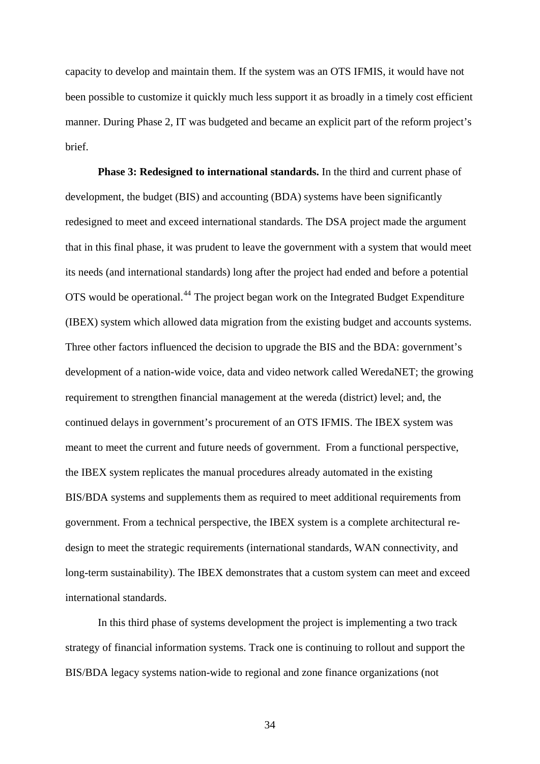capacity to develop and maintain them. If the system was an OTS IFMIS, it would have not been possible to customize it quickly much less support it as broadly in a timely cost efficient manner. During Phase 2, IT was budgeted and became an explicit part of the reform project's brief.

**Phase 3: Redesigned to international standards.** In the third and current phase of development, the budget (BIS) and accounting (BDA) systems have been significantly redesigned to meet and exceed international standards. The DSA project made the argument that in this final phase, it was prudent to leave the government with a system that would meet its needs (and international standards) long after the project had ended and before a potential OTS would be operational.<sup>[44](#page-62-0)</sup> The project began work on the Integrated Budget Expenditure (IBEX) system which allowed data migration from the existing budget and accounts systems. Three other factors influenced the decision to upgrade the BIS and the BDA: government's development of a nation-wide voice, data and video network called WeredaNET; the growing requirement to strengthen financial management at the wereda (district) level; and, the continued delays in government's procurement of an OTS IFMIS. The IBEX system was meant to meet the current and future needs of government. From a functional perspective, the IBEX system replicates the manual procedures already automated in the existing BIS/BDA systems and supplements them as required to meet additional requirements from government. From a technical perspective, the IBEX system is a complete architectural redesign to meet the strategic requirements (international standards, WAN connectivity, and long-term sustainability). The IBEX demonstrates that a custom system can meet and exceed international standards.

In this third phase of systems development the project is implementing a two track strategy of financial information systems. Track one is continuing to rollout and support the BIS/BDA legacy systems nation-wide to regional and zone finance organizations (not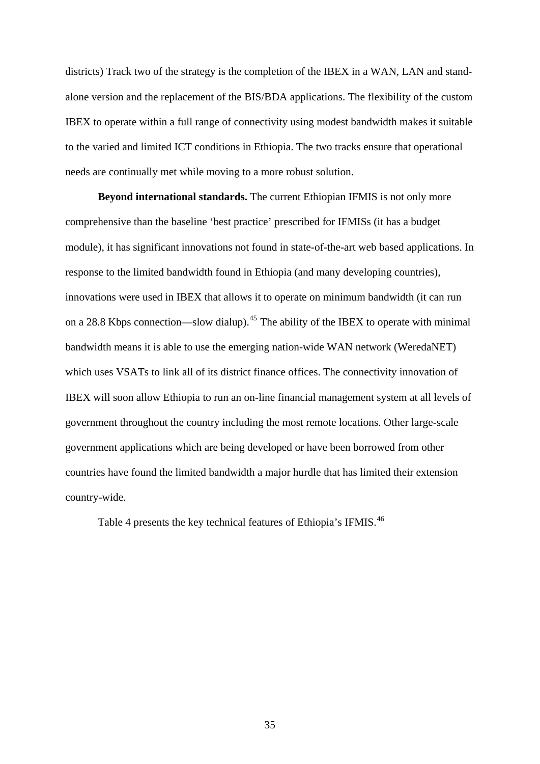districts) Track two of the strategy is the completion of the IBEX in a WAN, LAN and standalone version and the replacement of the BIS/BDA applications. The flexibility of the custom IBEX to operate within a full range of connectivity using modest bandwidth makes it suitable to the varied and limited ICT conditions in Ethiopia. The two tracks ensure that operational needs are continually met while moving to a more robust solution.

**Beyond international standards.** The current Ethiopian IFMIS is not only more comprehensive than the baseline 'best practice' prescribed for IFMISs (it has a budget module), it has significant innovations not found in state-of-the-art web based applications. In response to the limited bandwidth found in Ethiopia (and many developing countries), innovations were used in IBEX that allows it to operate on minimum bandwidth (it can run on a 28.8 Kbps connection—slow dialup).<sup>[45](#page-62-0)</sup> The ability of the IBEX to operate with minimal bandwidth means it is able to use the emerging nation-wide WAN network (WeredaNET) which uses VSATs to link all of its district finance offices. The connectivity innovation of IBEX will soon allow Ethiopia to run an on-line financial management system at all levels of government throughout the country including the most remote locations. Other large-scale government applications which are being developed or have been borrowed from other countries have found the limited bandwidth a major hurdle that has limited their extension country-wide.

Table 4 presents the key technical features of Ethiopia's IFMIS.<sup>[46](#page-62-0)</sup>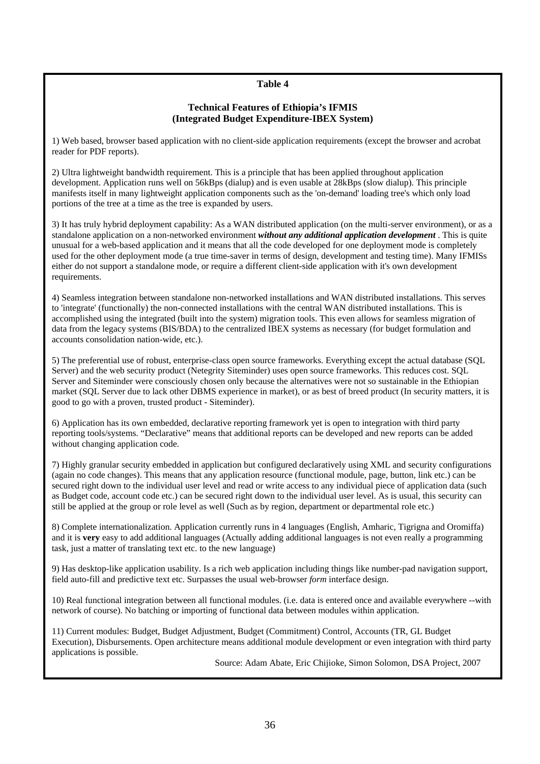## **Table 4**

### **Technical Features of Ethiopia's IFMIS (Integrated Budget Expenditure-IBEX System)**

1) Web based, browser based application with no client-side application requirements (except the browser and acrobat reader for PDF reports).

2) Ultra lightweight bandwidth requirement. This is a principle that has been applied throughout application development. Application runs well on 56kBps (dialup) and is even usable at 28kBps (slow dialup). This principle manifests itself in many lightweight application components such as the 'on-demand' loading tree's which only load portions of the tree at a time as the tree is expanded by users.

3) It has truly hybrid deployment capability: As a WAN distributed application (on the multi-server environment), or as a standalone application on a non-networked environment *without any additional application development* . This is quite unusual for a web-based application and it means that all the code developed for one deployment mode is completely used for the other deployment mode (a true time-saver in terms of design, development and testing time). Many IFMISs either do not support a standalone mode, or require a different client-side application with it's own development requirements.

4) Seamless integration between standalone non-networked installations and WAN distributed installations. This serves to 'integrate' (functionally) the non-connected installations with the central WAN distributed installations. This is accomplished using the integrated (built into the system) migration tools. This even allows for seamless migration of data from the legacy systems (BIS/BDA) to the centralized IBEX systems as necessary (for budget formulation and accounts consolidation nation-wide, etc.).

5) The preferential use of robust, enterprise-class open source frameworks. Everything except the actual database (SQL Server) and the web security product (Netegrity Siteminder) uses open source frameworks. This reduces cost. SQL Server and Siteminder were consciously chosen only because the alternatives were not so sustainable in the Ethiopian market (SQL Server due to lack other DBMS experience in market), or as best of breed product (In security matters, it is good to go with a proven, trusted product - Siteminder).

6) Application has its own embedded, declarative reporting framework yet is open to integration with third party reporting tools/systems. "Declarative" means that additional reports can be developed and new reports can be added without changing application code.

7) Highly granular security embedded in application but configured declaratively using XML and security configurations (again no code changes). This means that any application resource (functional module, page, button, link etc.) can be secured right down to the individual user level and read or write access to any individual piece of application data (such as Budget code, account code etc.) can be secured right down to the individual user level. As is usual, this security can still be applied at the group or role level as well (Such as by region, department or departmental role etc.)

8) Complete internationalization. Application currently runs in 4 languages (English, Amharic, Tigrigna and Oromiffa) and it is **very** easy to add additional languages (Actually adding additional languages is not even really a programming task, just a matter of translating text etc. to the new language)

9) Has desktop-like application usability. Is a rich web application including things like number-pad navigation support, field auto-fill and predictive text etc. Surpasses the usual web-browser *form* interface design.

10) Real functional integration between all functional modules. (i.e. data is entered once and available everywhere --with network of course). No batching or importing of functional data between modules within application.

11) Current modules: Budget, Budget Adjustment, Budget (Commitment) Control, Accounts (TR, GL Budget Execution), Disbursements. Open architecture means additional module development or even integration with third party applications is possible.

Source: Adam Abate, Eric Chijioke, Simon Solomon, DSA Project, 2007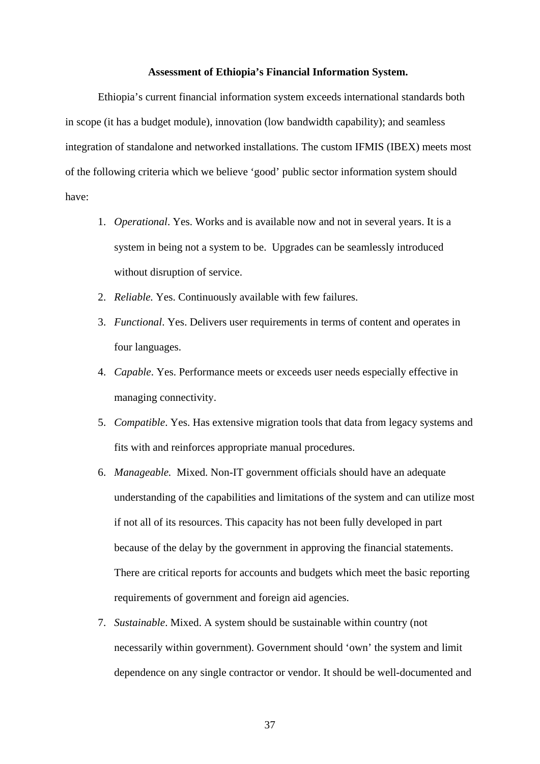#### **Assessment of Ethiopia's Financial Information System.**

 Ethiopia's current financial information system exceeds international standards both in scope (it has a budget module), innovation (low bandwidth capability); and seamless integration of standalone and networked installations. The custom IFMIS (IBEX) meets most of the following criteria which we believe 'good' public sector information system should have:

- 1. *Operational*. Yes. Works and is available now and not in several years. It is a system in being not a system to be. Upgrades can be seamlessly introduced without disruption of service.
- 2. *Reliable.* Yes. Continuously available with few failures.
- 3. *Functional*. Yes. Delivers user requirements in terms of content and operates in four languages.
- 4. *Capable*. Yes. Performance meets or exceeds user needs especially effective in managing connectivity.
- 5. *Compatible*. Yes. Has extensive migration tools that data from legacy systems and fits with and reinforces appropriate manual procedures.
- 6. *Manageable.* Mixed. Non-IT government officials should have an adequate understanding of the capabilities and limitations of the system and can utilize most if not all of its resources. This capacity has not been fully developed in part because of the delay by the government in approving the financial statements. There are critical reports for accounts and budgets which meet the basic reporting requirements of government and foreign aid agencies.
- 7. *Sustainable*. Mixed. A system should be sustainable within country (not necessarily within government). Government should 'own' the system and limit dependence on any single contractor or vendor. It should be well-documented and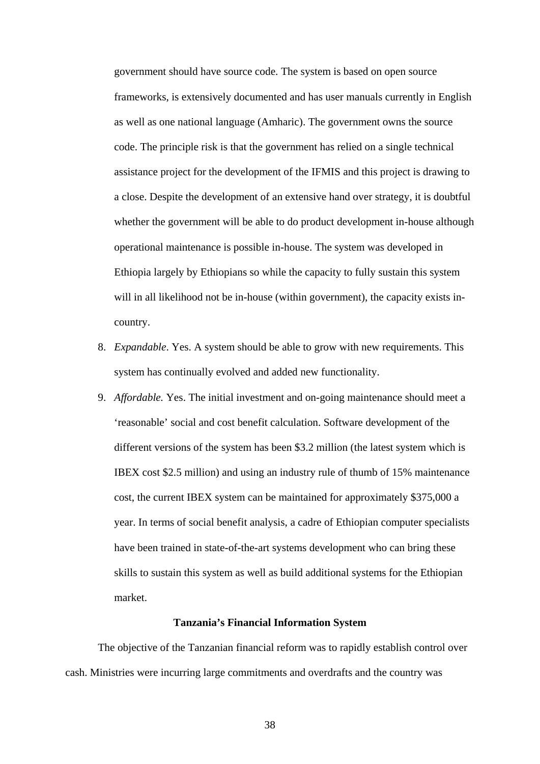government should have source code. The system is based on open source frameworks, is extensively documented and has user manuals currently in English as well as one national language (Amharic). The government owns the source code. The principle risk is that the government has relied on a single technical assistance project for the development of the IFMIS and this project is drawing to a close. Despite the development of an extensive hand over strategy, it is doubtful whether the government will be able to do product development in-house although operational maintenance is possible in-house. The system was developed in Ethiopia largely by Ethiopians so while the capacity to fully sustain this system will in all likelihood not be in-house (within government), the capacity exists incountry.

- 8. *Expandable*. Yes. A system should be able to grow with new requirements. This system has continually evolved and added new functionality.
- 9. *Affordable.* Yes. The initial investment and on-going maintenance should meet a 'reasonable' social and cost benefit calculation. Software development of the different versions of the system has been \$3.2 million (the latest system which is IBEX cost \$2.5 million) and using an industry rule of thumb of 15% maintenance cost, the current IBEX system can be maintained for approximately \$375,000 a year. In terms of social benefit analysis, a cadre of Ethiopian computer specialists have been trained in state-of-the-art systems development who can bring these skills to sustain this system as well as build additional systems for the Ethiopian market.

## **Tanzania's Financial Information System**

The objective of the Tanzanian financial reform was to rapidly establish control over cash. Ministries were incurring large commitments and overdrafts and the country was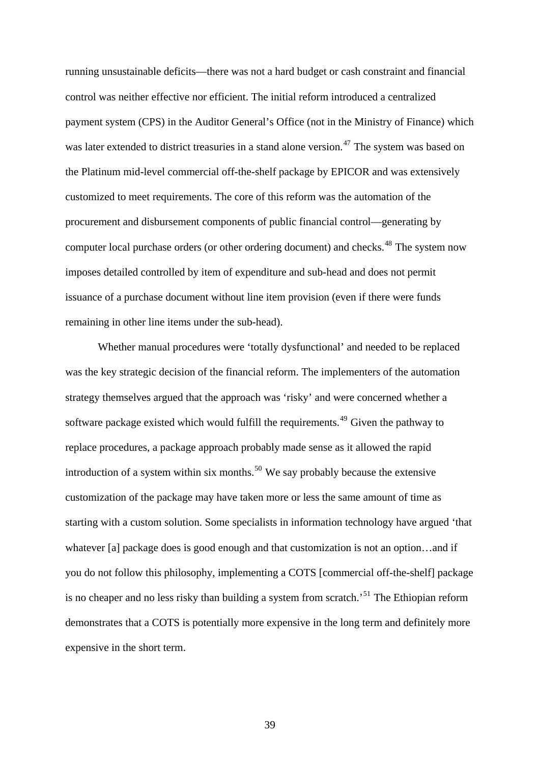running unsustainable deficits—there was not a hard budget or cash constraint and financial control was neither effective nor efficient. The initial reform introduced a centralized payment system (CPS) in the Auditor General's Office (not in the Ministry of Finance) which was later extended to district treasuries in a stand alone version.<sup>[47](#page-62-0)</sup> The system was based on the Platinum mid-level commercial off-the-shelf package by EPICOR and was extensively customized to meet requirements. The core of this reform was the automation of the procurement and disbursement components of public financial control—generating by computer local purchase orders (or other ordering document) and checks.<sup>[48](#page-62-0)</sup> The system now imposes detailed controlled by item of expenditure and sub-head and does not permit issuance of a purchase document without line item provision (even if there were funds remaining in other line items under the sub-head).

Whether manual procedures were 'totally dysfunctional' and needed to be replaced was the key strategic decision of the financial reform. The implementers of the automation strategy themselves argued that the approach was 'risky' and were concerned whether a software package existed which would fulfill the requirements.<sup>[49](#page-62-0)</sup> Given the pathway to replace procedures, a package approach probably made sense as it allowed the rapid introduction of a system within six months.<sup>[50](#page-62-0)</sup> We say probably because the extensive customization of the package may have taken more or less the same amount of time as starting with a custom solution. Some specialists in information technology have argued 'that whatever [a] package does is good enough and that customization is not an option…and if you do not follow this philosophy, implementing a COTS [commercial off-the-shelf] package is no cheaper and no less risky than building a system from scratch.<sup>[51](#page-62-0)</sup> The Ethiopian reform demonstrates that a COTS is potentially more expensive in the long term and definitely more expensive in the short term.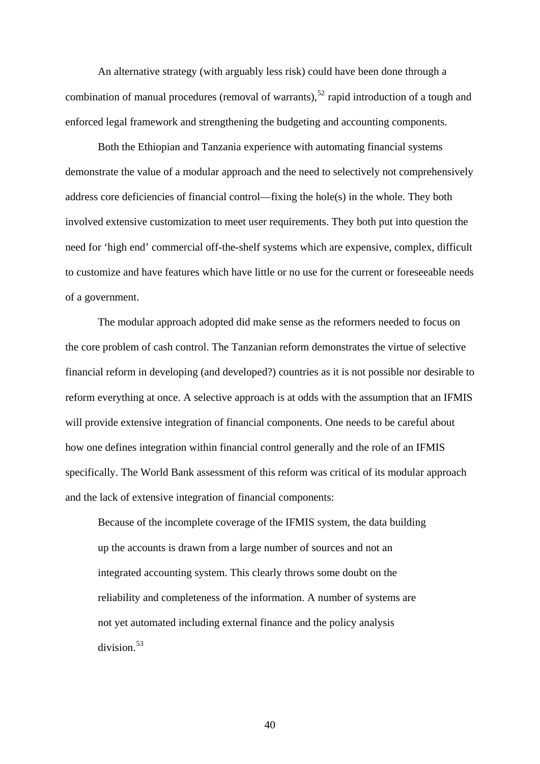An alternative strategy (with arguably less risk) could have been done through a combination of manual procedures (removal of warrants),<sup>[52](#page-62-0)</sup> rapid introduction of a tough and enforced legal framework and strengthening the budgeting and accounting components.

Both the Ethiopian and Tanzania experience with automating financial systems demonstrate the value of a modular approach and the need to selectively not comprehensively address core deficiencies of financial control—fixing the hole(s) in the whole. They both involved extensive customization to meet user requirements. They both put into question the need for 'high end' commercial off-the-shelf systems which are expensive, complex, difficult to customize and have features which have little or no use for the current or foreseeable needs of a government.

The modular approach adopted did make sense as the reformers needed to focus on the core problem of cash control. The Tanzanian reform demonstrates the virtue of selective financial reform in developing (and developed?) countries as it is not possible nor desirable to reform everything at once. A selective approach is at odds with the assumption that an IFMIS will provide extensive integration of financial components. One needs to be careful about how one defines integration within financial control generally and the role of an IFMIS specifically. The World Bank assessment of this reform was critical of its modular approach and the lack of extensive integration of financial components:

Because of the incomplete coverage of the IFMIS system, the data building up the accounts is drawn from a large number of sources and not an integrated accounting system. This clearly throws some doubt on the reliability and completeness of the information. A number of systems are not yet automated including external finance and the policy analysis  $division<sup>53</sup>$  $division<sup>53</sup>$  $division<sup>53</sup>$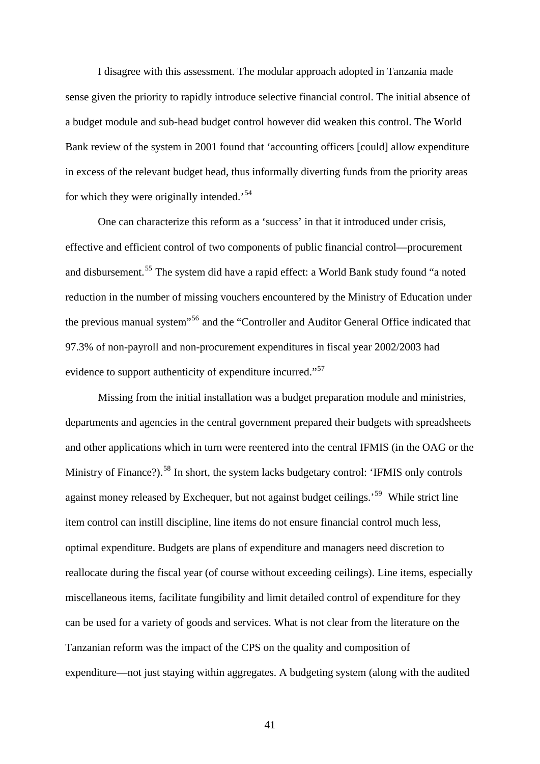I disagree with this assessment. The modular approach adopted in Tanzania made sense given the priority to rapidly introduce selective financial control. The initial absence of a budget module and sub-head budget control however did weaken this control. The World Bank review of the system in 2001 found that 'accounting officers [could] allow expenditure in excess of the relevant budget head, thus informally diverting funds from the priority areas for which they were originally intended.<sup>[54](#page-62-0)</sup>

One can characterize this reform as a 'success' in that it introduced under crisis, effective and efficient control of two components of public financial control—procurement and disbursement.<sup>[55](#page-63-0)</sup> The system did have a rapid effect: a World Bank study found "a noted reduction in the number of missing vouchers encountered by the Ministry of Education under the previous manual system"[56](#page-63-0) and the "Controller and Auditor General Office indicated that 97.3% of non-payroll and non-procurement expenditures in fiscal year 2002/2003 had evidence to support authenticity of expenditure incurred."<sup>[57](#page-63-0)</sup>

Missing from the initial installation was a budget preparation module and ministries, departments and agencies in the central government prepared their budgets with spreadsheets and other applications which in turn were reentered into the central IFMIS (in the OAG or the Ministry of Finance?).<sup>[58](#page-63-0)</sup> In short, the system lacks budgetary control: 'IFMIS only controls against money released by Exchequer, but not against budget ceilings.<sup>[59](#page-63-0)</sup> While strict line item control can instill discipline, line items do not ensure financial control much less, optimal expenditure. Budgets are plans of expenditure and managers need discretion to reallocate during the fiscal year (of course without exceeding ceilings). Line items, especially miscellaneous items, facilitate fungibility and limit detailed control of expenditure for they can be used for a variety of goods and services. What is not clear from the literature on the Tanzanian reform was the impact of the CPS on the quality and composition of expenditure—not just staying within aggregates. A budgeting system (along with the audited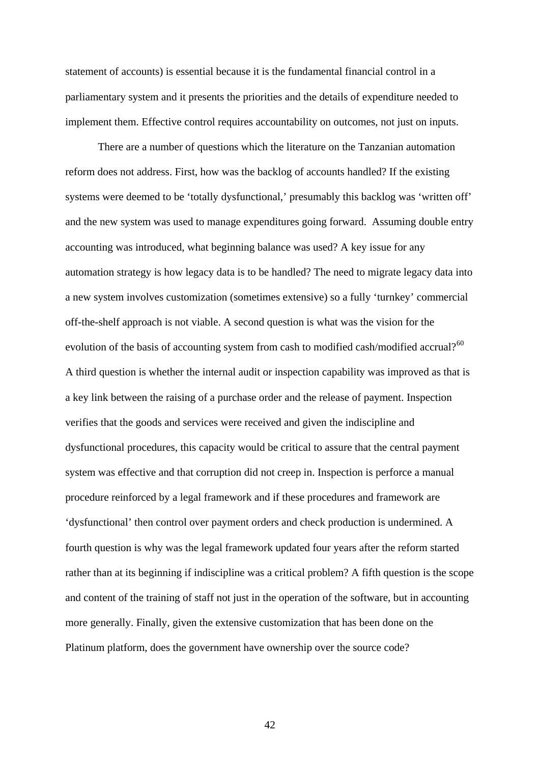statement of accounts) is essential because it is the fundamental financial control in a parliamentary system and it presents the priorities and the details of expenditure needed to implement them. Effective control requires accountability on outcomes, not just on inputs.

There are a number of questions which the literature on the Tanzanian automation reform does not address. First, how was the backlog of accounts handled? If the existing systems were deemed to be 'totally dysfunctional,' presumably this backlog was 'written off' and the new system was used to manage expenditures going forward. Assuming double entry accounting was introduced, what beginning balance was used? A key issue for any automation strategy is how legacy data is to be handled? The need to migrate legacy data into a new system involves customization (sometimes extensive) so a fully 'turnkey' commercial off-the-shelf approach is not viable. A second question is what was the vision for the evolution of the basis of accounting system from cash to modified cash/modified accrual?<sup>[60](#page-63-0)</sup> A third question is whether the internal audit or inspection capability was improved as that is a key link between the raising of a purchase order and the release of payment. Inspection verifies that the goods and services were received and given the indiscipline and dysfunctional procedures, this capacity would be critical to assure that the central payment system was effective and that corruption did not creep in. Inspection is perforce a manual procedure reinforced by a legal framework and if these procedures and framework are 'dysfunctional' then control over payment orders and check production is undermined. A fourth question is why was the legal framework updated four years after the reform started rather than at its beginning if indiscipline was a critical problem? A fifth question is the scope and content of the training of staff not just in the operation of the software, but in accounting more generally. Finally, given the extensive customization that has been done on the Platinum platform, does the government have ownership over the source code?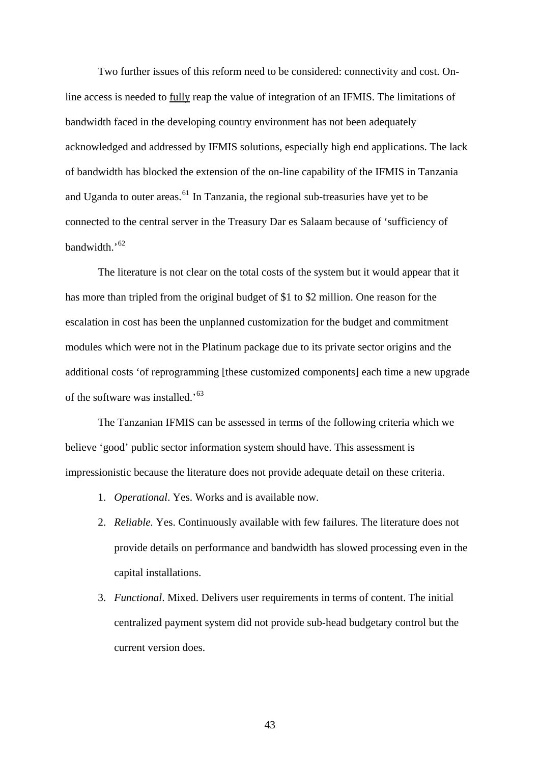Two further issues of this reform need to be considered: connectivity and cost. Online access is needed to fully reap the value of integration of an IFMIS. The limitations of bandwidth faced in the developing country environment has not been adequately acknowledged and addressed by IFMIS solutions, especially high end applications. The lack of bandwidth has blocked the extension of the on-line capability of the IFMIS in Tanzania and Uganda to outer areas.<sup> $61$ </sup> In Tanzania, the regional sub-treasuries have yet to be connected to the central server in the Treasury Dar es Salaam because of 'sufficiency of bandwidth.'<sup>[62](#page-64-0)</sup>

[The literature is not clear on the total costs of the system but it would appear th](#page-64-0)at it [additional costs 'of reprogrammi](#page-64-0)ng [these customized components] each time a new upgrade of the software was installed.'<sup>63</sup> [has more than tripled from the original budget of \\$1 to \\$2 million. One reason for the](#page-64-0)  [escalation in cost has been the unplanned customization for the budget and commitment](#page-64-0)  [modules which were not in the Platinum package due to its private sector origins and the](#page-64-0) 

The Tanzanian IFMIS can be assessed in terms of the following criteria which we impressionistic because the literature does not provide adequate detail on these criteria. believe 'good' public sector information system should have. This assessment is

- 1. *Operational*. Yes. Works and is available now.
- provide details on performance and bandwidth has slowed processing even in the 2. *Reliable.* Yes. Continuously available with few failures. The literature does not capital installations.
- centralized payment system did not provide sub-head budgetary control but the current version does. 3. *Functional*. Mixed. Delivers user requirements in terms of content. The initial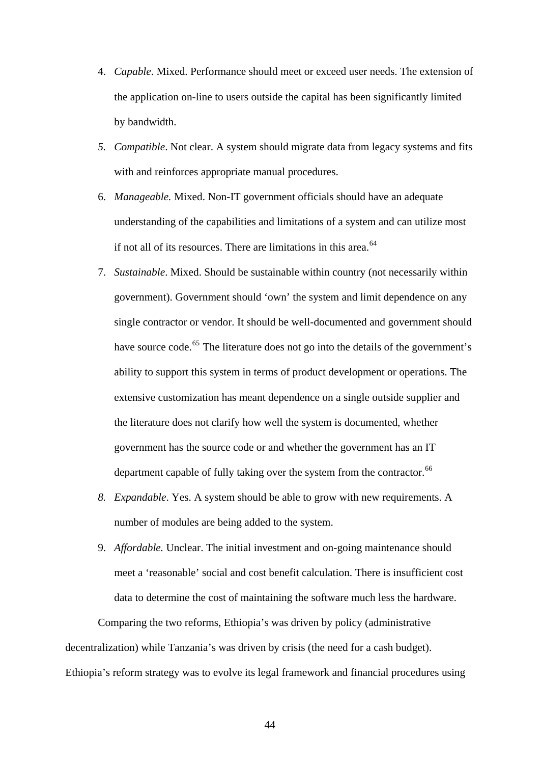- 4. *Capable*. Mixed. Performance should meet or exceed user needs. The extension of the application on-line to users outside the capital has been significantly limited by bandwidth.
- *5. Compatible*. Not clear. A system should migrate data from legacy systems and fits with and reinforces appropriate manual procedures.
- 6. *Manageable.* Mixed. Non-IT government officials should have an adequate understanding of the capabilities and limitations of a system and can utilize most if not all of its resources. There are limitations in this area.<sup>[64](#page-64-0)</sup>
- 7. *Sustainable*. Mixed. Should be sustainable within country (not necessarily within government). Government should 'own' the system and limit dependence on any single contractor or vendor. It should be well-documented and government should have source code.<sup>[65](#page-64-0)</sup> The literature does not go into the details of the government's ability to support this system in terms of product development or operations. The extensive customization has meant dependence on a single outside supplier and the literature does not clarify how well the system is documented, whether government has the source code or and whether the government has an IT department capable of fully taking over the system from the contractor.<sup>[66](#page-64-0)</sup>
- *8. Expandable*. Yes. A system should be able to grow with new requirements. A number of modules are being added to the system.
- 9. *Affordable.* Unclear. The initial investment and on-going maintenance should meet a 'reasonable' social and cost benefit calculation. There is insufficient cost data to determine the cost of maintaining the software much less the hardware.

Comparing the two reforms, Ethiopia's was driven by policy (administrative decentralization) while Tanzania's was driven by crisis (the need for a cash budget). Ethiopia's reform strategy was to evolve its legal framework and financial procedures using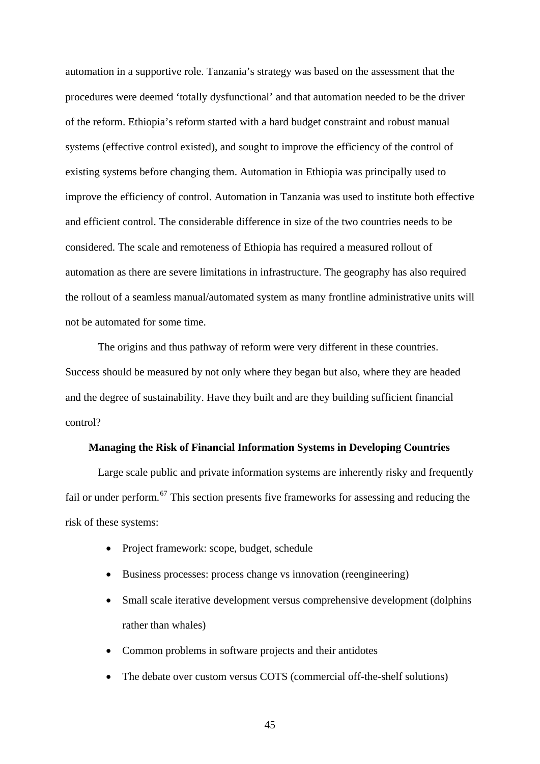automation in a supportive role. Tanzania's strategy was based on the assessment that the procedures were deemed 'totally dysfunctional' and that automation needed to be the driver of the reform. Ethiopia's reform started with a hard budget constraint and robust manual systems (effective control existed), and sought to improve the efficiency of the control of existing systems before changing them. Automation in Ethiopia was principally used to improve the efficiency of control. Automation in Tanzania was used to institute both effective and efficient control. The considerable difference in size of the two countries needs to be considered. The scale and remoteness of Ethiopia has required a measured rollout of automation as there are severe limitations in infrastructure. The geography has also required the rollout of a seamless manual/automated system as many frontline administrative units will not be automated for some time.

The origins and thus pathway of reform were very different in these countries. Success should be measured by not only where they began but also, where they are headed and the degree of sustainability. Have they built and are they building sufficient financial control?

#### **Managing the Risk of Financial Information Systems in Developing Countries**

Large scale public and private information systems are inherently risky and frequently fail or under perform.<sup>[67](#page-64-0)</sup> This section presents five frameworks for assessing and reducing the risk of these systems:

- Project framework: scope, budget, schedule
- Business processes: process change vs innovation (reengineering)
- Small scale iterative development versus comprehensive development (dolphins) rather than whales)
- Common problems in software projects and their antidotes
- The debate over custom versus COTS (commercial off-the-shelf solutions)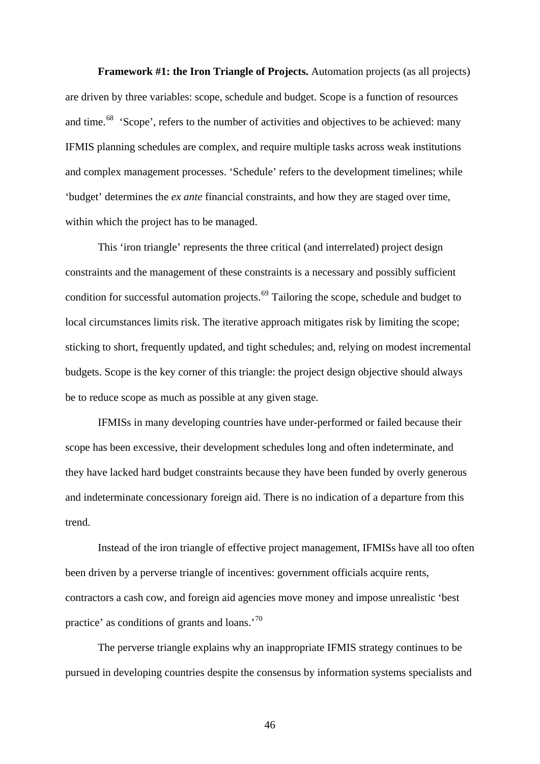**Framework #1: the Iron Triangle of Projects.** Automation projects (as all projects) are driven by three variables: scope, schedule and budget. Scope is a function of resources and time.<sup>[68](#page-64-0)</sup> 'Scope', refers to the number of activities and objectives to be achieved: many IFMIS planning schedules are complex, and require multiple tasks across weak institutions and complex management processes. 'Schedule' refers to the development timelines; while 'budget' determines the *ex ante* financial constraints, and how they are staged over time, within which the project has to be managed.

This 'iron triangle' represents the three critical (and interrelated) project design constraints and the management of these constraints is a necessary and possibly sufficient condition for successful automation projects.<sup>[69](#page-64-0)</sup> Tailoring the scope, schedule and budget to local circumstances limits risk. The iterative approach mitigates risk by limiting the scope; sticking to short, frequently updated, and tight schedules; and, relying on modest incremental budgets. Scope is the key corner of this triangle: the project design objective should always be to reduce scope as much as possible at any given stage.

IFMISs in many developing countries have under-performed or failed because their scope has been excessive, their development schedules long and often indeterminate, and they have lacked hard budget constraints because they have been funded by overly generous and indeterminate concessionary foreign aid. There is no indication of a departure from this trend.

Instead of the iron triangle of effective project management, IFMISs have all too often been driven by a perverse triangle of incentives: government officials acquire rents, contractors a cash cow, and foreign aid agencies move money and impose unrealistic 'best practice' as conditions of grants and loans.'[70](#page-64-0)

The perverse triangle explains why an inappropriate IFMIS strategy continues to be pursued in developing countries despite the consensus by information systems specialists and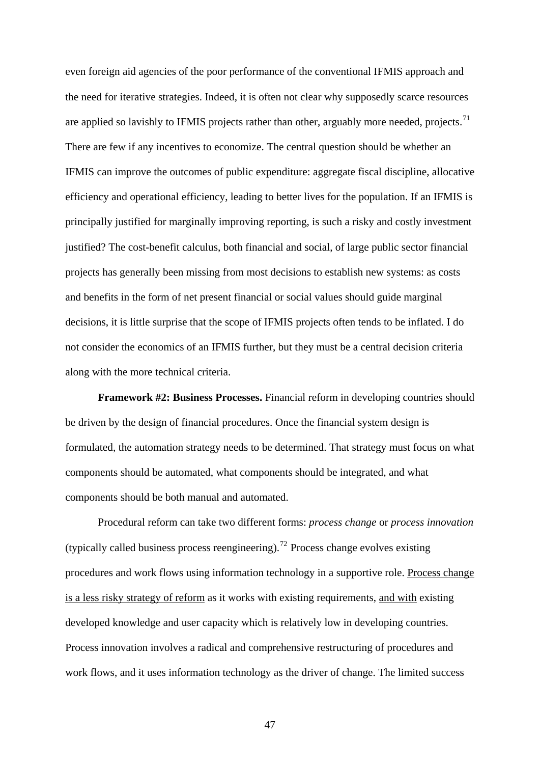even foreign aid agencies of the poor performance of the conventional IFMIS approach and the need for iterative strategies. Indeed, it is often not clear why supposedly scarce resources are applied so lavishly to IFMIS projects rather than other, arguably more needed, projects.<sup>[71](#page-65-0)</sup> There are few if any incentives to economize. The central question should be whether an IFMIS can improve the outcomes of public expenditure: aggregate fiscal discipline, allocative efficiency and operational efficiency, leading to better lives for the population. If an IFMIS is principally justified for marginally improving reporting, is such a risky and costly investment justified? The cost-benefit calculus, both financial and social, of large public sector financial projects has generally been missing from most decisions to establish new systems: as costs and benefits in the form of net present financial or social values should guide marginal decisions, it is little surprise that the scope of IFMIS projects often tends to be inflated. I do not consider the economics of an IFMIS further, but they must be a central decision criteria along with the more technical criteria.

**Framework #2: Business Processes.** Financial reform in developing countries should be driven by the design of financial procedures. Once the financial system design is formulated, the automation strategy needs to be determined. That strategy must focus on what components should be automated, what components should be integrated, and what components should be both manual and automated.

Procedural reform can take two different forms: *process change* or *process innovation* (typically called business process reengineering).<sup>[72](#page-65-0)</sup> Process change evolves existing procedures and work flows using information technology in a supportive role. Process change is a less risky strategy of reform as it works with existing requirements, and with existing developed knowledge and user capacity which is relatively low in developing countries. Process innovation involves a radical and comprehensive restructuring of procedures and work flows, and it uses information technology as the driver of change. The limited success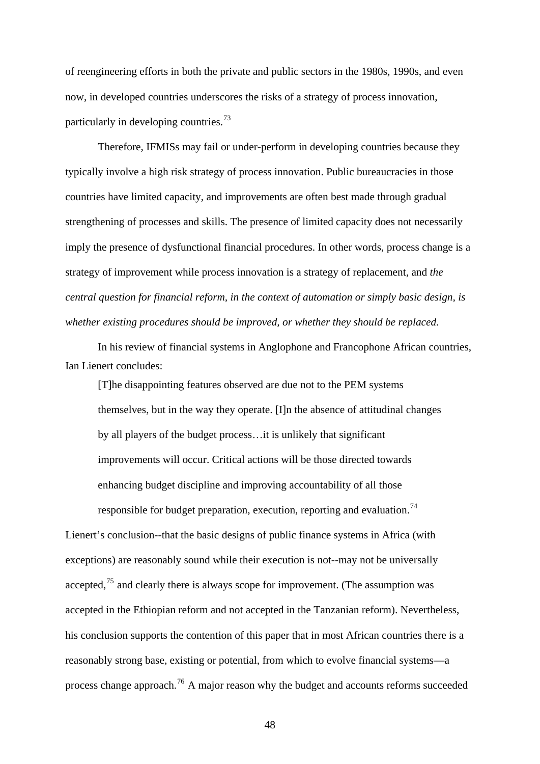of reengineering efforts in both the private and public sectors in the 1980s, 1990s, and even now, in developed countries underscores the risks of a strategy of process innovation, particularly in developing countries.[73](#page-65-0)

Therefore, IFMISs may fail or under-perform in developing countries because they typically involve a high risk strategy of process innovation. Public bureaucracies in those countries have limited capacity, and improvements are often best made through gradual strengthening of processes and skills. The presence of limited capacity does not necessarily imply the presence of dysfunctional financial procedures. In other words, process change is a strategy of improvement while process innovation is a strategy of replacement, and *the central question for financial reform, in the context of automation or simply basic design, is whether existing procedures should be improved, or whether they should be replaced.*

In his review of financial systems in Anglophone and Francophone African countries, Ian Lienert concludes:

[T]he disappointing features observed are due not to the PEM systems themselves, but in the way they operate. [I]n the absence of attitudinal changes by all players of the budget process…it is unlikely that significant improvements will occur. Critical actions will be those directed towards enhancing budget discipline and improving accountability of all those

responsible for budget preparation, execution, reporting and evaluation.<sup>[74](#page-65-0)</sup>

Lienert's conclusion--that the basic designs of public finance systems in Africa (with exceptions) are reasonably sound while their execution is not--may not be universally accepted, $75$  and clearly there is always scope for improvement. (The assumption was accepted in the Ethiopian reform and not accepted in the Tanzanian reform). Neverthe less, his conclusion supports the contention of this paper that in most African countries there is a reasonably strong base, existing or potential, from which to evolve financial systems—a process change approach.<sup>[76](#page-65-0)</sup> A major reason why the budget and accounts reforms succeeded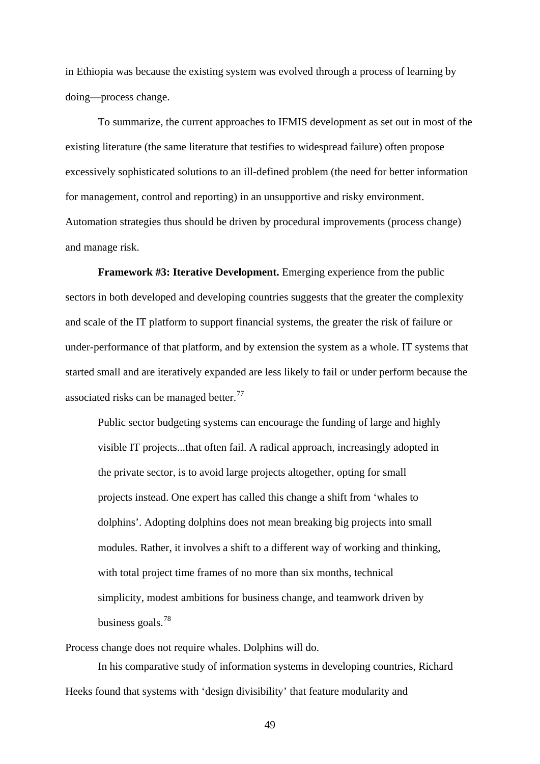in Ethiopia was because the existing system was evolved through a process of learning by doing—process change.

To summarize, the current approaches to IFMIS development as set out in most of the existing literature (the same literature that testifies to widespread failure) often propose excessively sophisticated solutions to an ill-defined problem (the need for better information for management, control and reporting) in an unsupportive and risky environment. Automation strategies thus should be driven by procedural improvements (process change) and manage risk.

**Framework #3: Iterative Development.** Emerging experience from the public sectors in both developed and developing countries suggests that the greater the complexity and scale of the IT platform to support financial systems, the greater the risk of failure or under-performance of that platform, and by extension the system as a whole. IT systems that started small and are iteratively expanded are less likely to fail or under perform because the associated risks can be managed better.<sup>[77](#page-65-0)</sup>

Public sector budgeting systems can encourage the funding of large and highly visible IT projects...that often fail. A radical approach, increasingly adopted in the private sector, is to avoid large projects altogether, opting for small projects instead. One expert has called this change a shift from 'whales to dolphins'. Adopting dolphins does not mean breaking big projects into small modules. Rather, it involves a shift to a different way of working and thinking, with total project time frames of no more than six months, technical simplicity, modest ambitions for business change, and teamwork driven by business goals.<sup>[78](#page-66-0)</sup>

Process change does not require whales. Dolphins will do.

In his comparative study of information systems in developing countries, Richard Heeks found that systems with 'design divisibility' that feature modularity and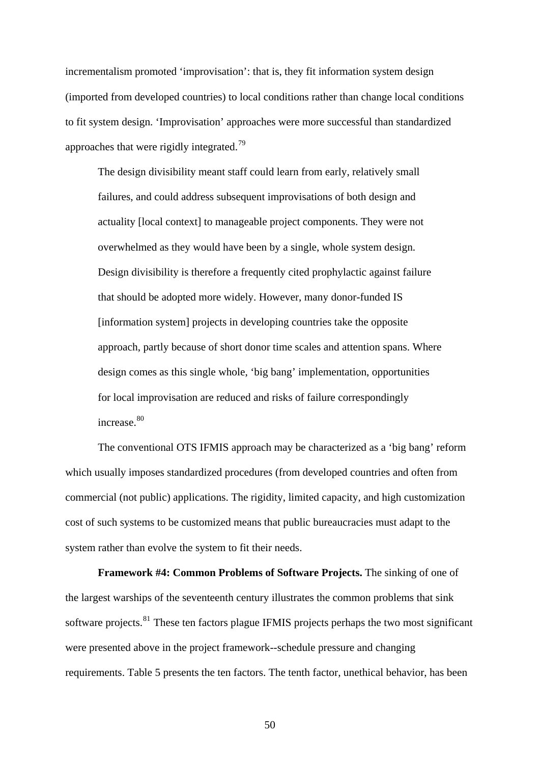incrementalism promoted 'improvisation': that is, they fit information system design (imported from developed countries) to local conditions rather than change local conditions to fit system design. 'Improvisation' approaches were more successful than standardized approaches that were rigidly integrated.<sup>[79](#page-66-0)</sup>

The design divisibility meant staff could learn from early, relatively small failures, and could address subsequent improvisations of both design and actuality [local context] to manageable project components. They were not overwhelmed as they would have been by a single, whole system design. Design divisibility is therefore a frequently cited prophylactic against failure that should be adopted more widely. However, many donor-funded IS [information system] projects in developing countries take the opposite approach, partly because of short donor time scales and attention spans. Where design comes as this single whole, 'big bang' implementation, opportunities for local improvisation are reduced and risks of failure correspondingly increase.<sup>[80](#page-66-0)</sup>

The conventional OTS IFMIS approach may be characterized as a 'big bang' reform which usually imposes standardized procedures (from developed countries and often from commercial (not public) applications. The rigidity, limited capacity, and high customization cost of such systems to be customized means that public bureaucracies must adapt to the system rather than evolve the system to fit their needs.

**Framework #4: Common Problems of Software Projects.** The sinking of one of the largest warships of the seventeenth century illustrates the common problems that sink software projects.<sup>[81](#page-66-0)</sup> These ten factors plague IFMIS projects perhaps the two most significant were presented above in the project framework--schedule pressure and changing requirements. Table 5 presents the ten factors. The tenth factor, unethical behavior, has been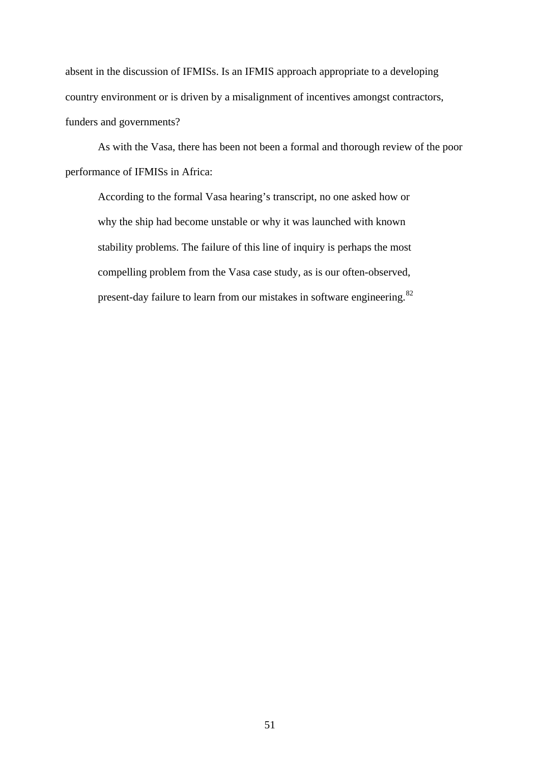absent in the discussion of IFMISs. Is an IFMIS approach appropriate to a developing country environment or is driven by a misalignment of incentives amongst contractors, funders and governments?

As with the Vasa, there has been not been a formal and thorough review of the poor performance of IFMISs in Africa:

 According to the formal Vasa hearing's transcript, no one asked how or why the ship had become unstable or why it was launched with known stability problems. The failure of this line of inquiry is perhaps the most compelling problem from the Vasa case study, as is our often-observed, present-day failure to learn from our mistakes in software engineering.[82](#page-66-0)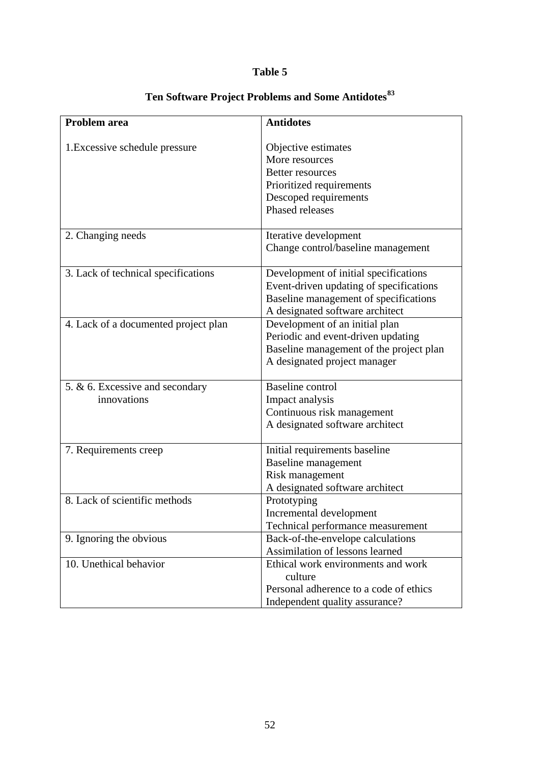# **Table 5**

| Problem area                         | <b>Antidotes</b>                        |
|--------------------------------------|-----------------------------------------|
|                                      |                                         |
| 1. Excessive schedule pressure       | Objective estimates                     |
|                                      | More resources                          |
|                                      | <b>Better resources</b>                 |
|                                      | Prioritized requirements                |
|                                      | Descoped requirements                   |
|                                      | Phased releases                         |
| 2. Changing needs                    | Iterative development                   |
|                                      | Change control/baseline management      |
|                                      |                                         |
| 3. Lack of technical specifications  | Development of initial specifications   |
|                                      | Event-driven updating of specifications |
|                                      | Baseline management of specifications   |
|                                      | A designated software architect         |
| 4. Lack of a documented project plan | Development of an initial plan          |
|                                      | Periodic and event-driven updating      |
|                                      | Baseline management of the project plan |
|                                      | A designated project manager            |
| 5. & 6. Excessive and secondary      | <b>Baseline</b> control                 |
| innovations                          | Impact analysis                         |
|                                      | Continuous risk management              |
|                                      | A designated software architect         |
|                                      |                                         |
| 7. Requirements creep                | Initial requirements baseline           |
|                                      | <b>Baseline</b> management              |
|                                      | Risk management                         |
|                                      | A designated software architect         |
| 8. Lack of scientific methods        | Prototyping                             |
|                                      | Incremental development                 |
|                                      | Technical performance measurement       |
| 9. Ignoring the obvious              | Back-of-the-envelope calculations       |
|                                      | Assimilation of lessons learned         |
| 10. Unethical behavior               | Ethical work environments and work      |
|                                      | culture                                 |
|                                      | Personal adherence to a code of ethics  |
|                                      | Independent quality assurance?          |

# **Ten Software Project Problems and Some Antidotes[83](#page-66-0)**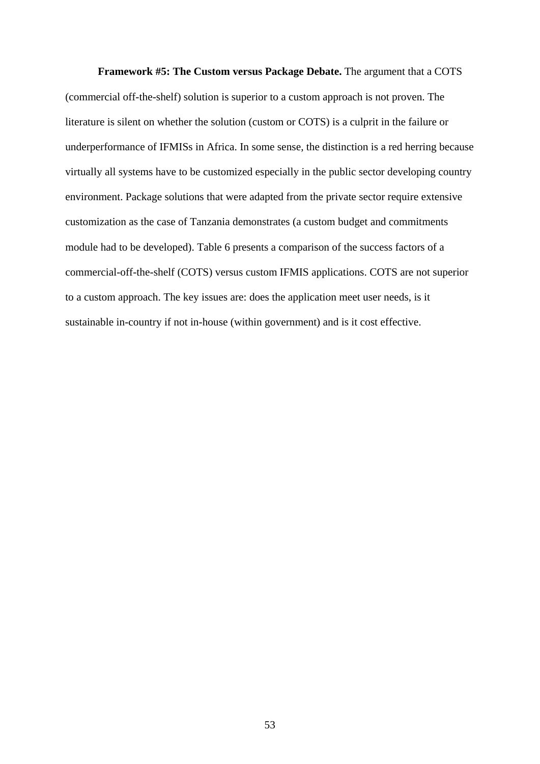**Framework #5: The Custom versus Package Debate.** The argument that a COTS (commercial off-the-shelf) solution is superior to a custom approach is not proven. The literature is silent on whether the solution (custom or COTS) is a culprit in the failure or underperformance of IFMISs in Africa. In some sense, the distinction is a red herring because virtually all systems have to be customized especially in the public sector developing country environment. Package solutions that were adapted from the private sector require extensive customization as the case of Tanzania demonstrates (a custom budget and commitments module had to be developed). Table 6 presents a comparison of the success factors of a commercial-off-the-shelf (COTS) versus custom IFMIS applications. COTS are not superior to a custom approach. The key issues are: does the application meet user needs, is it sustainable in-country if not in-house (within government) and is it cost effective.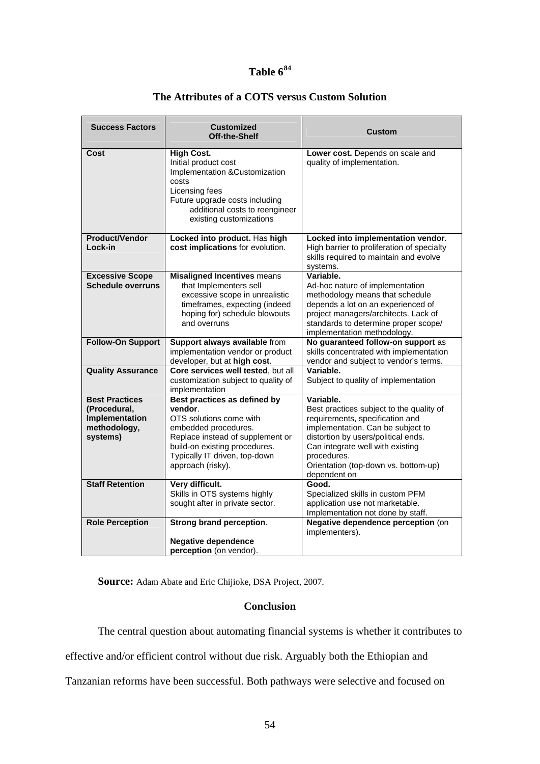# **Table 6[84](#page-66-0)**

| <b>Success Factors</b>                                                              | <b>Customized</b><br>Off-the-Shelf                                                                                                                                                                                    | Custom                                                                                                                                                                                                                                                                          |  |  |
|-------------------------------------------------------------------------------------|-----------------------------------------------------------------------------------------------------------------------------------------------------------------------------------------------------------------------|---------------------------------------------------------------------------------------------------------------------------------------------------------------------------------------------------------------------------------------------------------------------------------|--|--|
| Cost                                                                                | <b>High Cost.</b><br>Initial product cost<br>Implementation &Customization<br>costs<br>Licensing fees<br>Future upgrade costs including<br>additional costs to reengineer<br>existing customizations                  | Lower cost. Depends on scale and<br>quality of implementation.                                                                                                                                                                                                                  |  |  |
| <b>Product/Vendor</b><br>Lock-in                                                    | Locked into product. Has high<br>cost implications for evolution.                                                                                                                                                     | Locked into implementation vendor.<br>High barrier to proliferation of specialty<br>skills required to maintain and evolve<br>systems.                                                                                                                                          |  |  |
| <b>Excessive Scope</b><br><b>Schedule overruns</b>                                  | <b>Misaligned Incentives means</b><br>that Implementers sell<br>excessive scope in unrealistic<br>timeframes, expecting (indeed<br>hoping for) schedule blowouts<br>and overruns                                      | Variable.<br>Ad-hoc nature of implementation<br>methodology means that schedule<br>depends a lot on an experienced of<br>project managers/architects. Lack of<br>standards to determine proper scope/<br>implementation methodology.                                            |  |  |
| <b>Follow-On Support</b>                                                            | Support always available from<br>implementation vendor or product<br>developer, but at high cost.                                                                                                                     | No guaranteed follow-on support as<br>skills concentrated with implementation<br>vendor and subject to vendor's terms.                                                                                                                                                          |  |  |
| <b>Quality Assurance</b>                                                            | Core services well tested, but all<br>customization subject to quality of<br>implementation                                                                                                                           | Variable.<br>Subject to quality of implementation                                                                                                                                                                                                                               |  |  |
| <b>Best Practices</b><br>(Procedural,<br>Implementation<br>methodology,<br>systems) | Best practices as defined by<br>vendor.<br>OTS solutions come with<br>embedded procedures.<br>Replace instead of supplement or<br>build-on existing procedures.<br>Typically IT driven, top-down<br>approach (risky). | Variable.<br>Best practices subject to the quality of<br>requirements, specification and<br>implementation. Can be subject to<br>distortion by users/political ends.<br>Can integrate well with existing<br>procedures.<br>Orientation (top-down vs. bottom-up)<br>dependent on |  |  |
| <b>Staff Retention</b>                                                              | Very difficult.<br>Skills in OTS systems highly<br>sought after in private sector.                                                                                                                                    | Good.<br>Specialized skills in custom PFM<br>application use not marketable.<br>Implementation not done by staff.                                                                                                                                                               |  |  |
| <b>Role Perception</b>                                                              | Strong brand perception.<br><b>Negative dependence</b><br>perception (on vendor).                                                                                                                                     | Negative dependence perception (on<br>implementers).                                                                                                                                                                                                                            |  |  |

# **The Attributes of a COTS versus Custom Solution**

 **Source:** Adam Abate and Eric Chijioke, DSA Project, 2007.

## **Conclusion**

The central question about automating financial systems is whether it contributes to

effective and/or efficient control without due risk. Arguably both the Ethiopian and

Tanzanian reforms have been successful. Both pathways were selective and focused on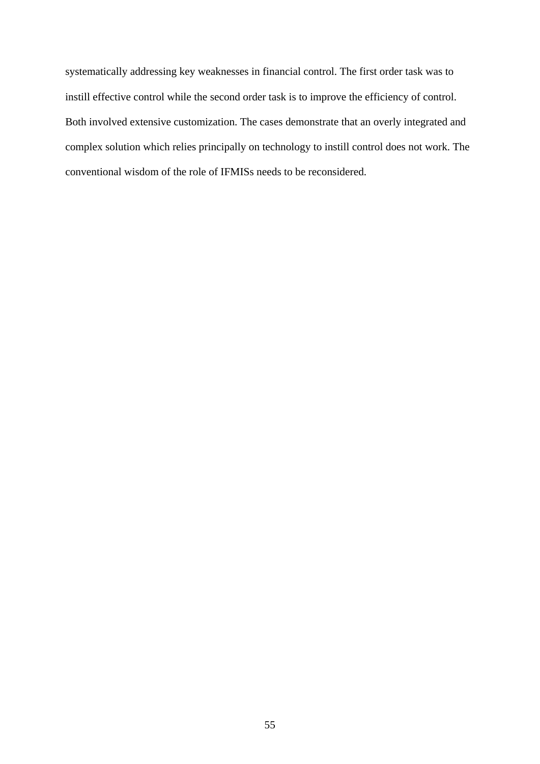systematically addressing key weaknesses in financial control. The first order task was to instill effective control while the second order task is to improve the efficiency of control. Both involved extensive customization. The cases demonstrate that an overly integrated and complex solution which relies principally on technology to instill control does not work. The conventional wisdom of the role of IFMISs needs to be reconsidered.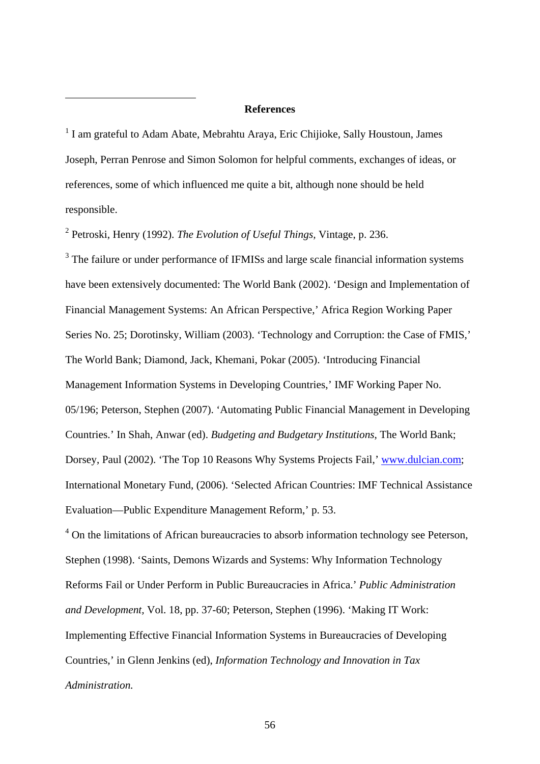#### **References**

<sup>1</sup> I am grateful to Adam Abate, Mebrahtu Araya, Eric Chijioke, Sally Houstoun, James Joseph, Perran Penrose and Simon Solomon for helpful comments, exchanges of ideas, or references, some of which influenced me quite a bit, although none should be held responsible.

2 Petroski, Henry (1992). *The Evolution of Useful Things,* Vintage, p. 236.

<span id="page-56-1"></span><span id="page-56-0"></span>1

<sup>3</sup> The failure or under performance of IFMISs and large scale financial information systems have been extensively documented: The World Bank (2002). 'Design and Implementation of Financial Management Systems: An African Perspective,' Africa Region Working Paper Series No. 25; Dorotinsky, William (2003). 'Technology and Corruption: the Case of FMIS,' The World Bank; Diamond, Jack, Khemani, Pokar (2005). 'Introducing Financial Management Information Systems in Developing Countries,' IMF Working Paper No. 05/196; Peterson, Stephen (2007). 'Automating Public Financial Management in Developing Countries.' In Shah, Anwar (ed). *Budgeting and Budgetary Institutions*, The World Bank; Dorsey, Paul (2002). 'The Top 10 Reasons Why Systems Projects Fail,' [www.dulcian.com;](http://www.dulcian.com/) International Monetary Fund, (2006). 'Selected African Countries: IMF Technical Assistance Evaluation—Public Expenditure Management Reform,' p. 53.

<sup>4</sup> On the limitations of African bureaucracies to absorb information technology see Peterson, Stephen (1998). 'Saints, Demons Wizards and Systems: Why Information Technology Reforms Fail or Under Perform in Public Bureaucracies in Africa.' *Public Administration and Development,* Vol. 18, pp. 37-60; Peterson, Stephen (1996). 'Making IT Work: Implementing Effective Financial Information Systems in Bureaucracies of Developing Countries,' in Glenn Jenkins (ed), *Information Technology and Innovation in Tax Administration.*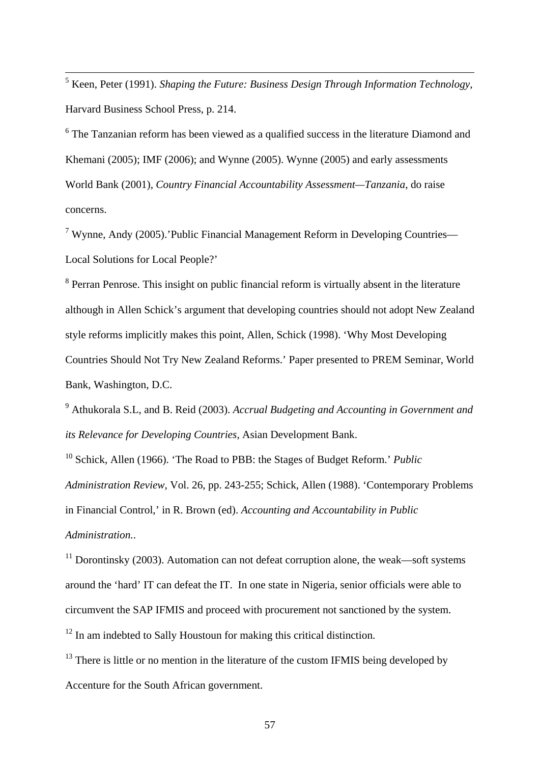<span id="page-57-0"></span> 5 Keen, Peter (1991). *Shaping the Future: Business Design Through Information Technology,*  Harvard Business School Press, p. 214.

 $6$  The Tanzanian reform has been viewed as a qualified success in the literature Diamond and Khemani (2005); IMF (2006); and Wynne (2005). Wynne (2005) and early assessments World Bank (2001), *Country Financial Accountability Assessment—Tanzania*, do raise concerns.

<sup>7</sup> Wynne, Andy (2005).'Public Financial Management Reform in Developing Countries— Local Solutions for Local People?'

<sup>8</sup> Perran Penrose. This insight on public financial reform is virtually absent in the literature although in Allen Schick's argument that developing countries should not adopt New Zealand style reforms implicitly makes this point, Allen, Schick (1998). 'Why Most Developing Countries Should Not Try New Zealand Reforms.' Paper presented to PREM Seminar, World Bank, Washington, D.C.

9 Athukorala S.L, and B. Reid (2003). *Accrual Budgeting and Accounting in Government and its Relevance for Developing Countries,* Asian Development Bank.

10 Schick, Allen (1966). 'The Road to PBB: the Stages of Budget Reform.' *Public Administration Review*, Vol. 26, pp. 243-255; Schick, Allen (1988). 'Contemporary Problems in Financial Control,' in R. Brown (ed). *Accounting and Accountability in Public Administration.*.

 $11$  Dorontinsky (2003). Automation can not defeat corruption alone, the weak—soft systems around the 'hard' IT can defeat the IT. In one state in Nigeria, senior officials were able to circumvent the SAP IFMIS and proceed with procurement not sanctioned by the system.

<sup>12</sup> In am indebted to Sally Houstoun for making this critical distinction.

 $13$  There is little or no mention in the literature of the custom IFMIS being developed by Accenture for the South African government.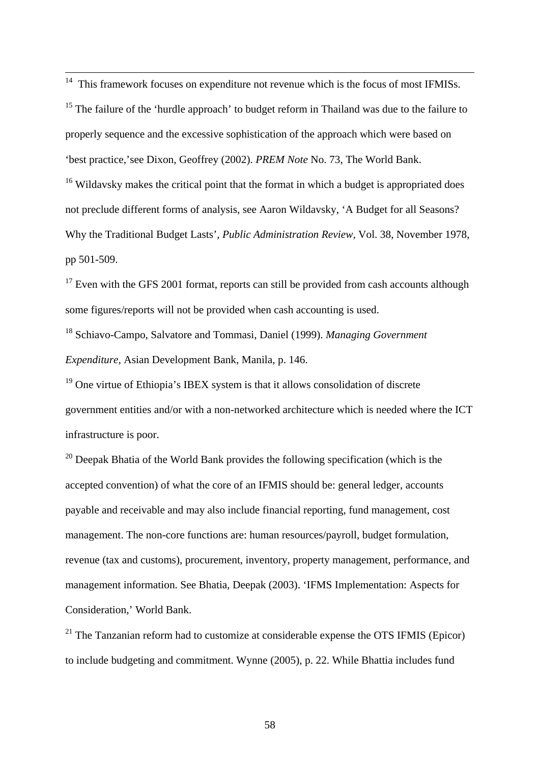<span id="page-58-0"></span><sup>14</sup> This framework focuses on expenditure not revenue which is the focus of most IFMISs.

<sup>15</sup> The failure of the 'hurdle approach' to budget reform in Thailand was due to the failure to properly sequence and the excessive sophistication of the approach which were based on 'best practice,'see Dixon, Geoffrey (2002). *PREM Note* No. 73, The World Bank.  $16$  Wildavsky makes the critical point that the format in which a budget is appropriated does not preclude different forms of analysis, see Aaron Wildavsky, 'A Budget for all Seasons? Why the Traditional Budget Lasts', *Public Administration Review,* Vol. 38, November 1978, pp 501-509.

 $17$  Even with the GFS 2001 format, reports can still be provided from cash accounts although some figures/reports will not be provided when cash accounting is used.

18 Schiavo-Campo, Salvatore and Tommasi, Daniel (1999). *Managing Government Expenditure,* Asian Development Bank, Manila, p. 146.

<sup>19</sup> One virtue of Ethiopia's IBEX system is that it allows consolidation of discrete government entities and/or with a non-networked architecture which is needed where the ICT infrastructure is poor.

 $20$  Deepak Bhatia of the World Bank provides the following specification (which is the accepted convention) of what the core of an IFMIS should be: general ledger, accounts payable and receivable and may also include financial reporting, fund management, cost management. The non-core functions are: human resources/payroll, budget formulation, revenue (tax and customs), procurement, inventory, property management, performance, and management information. See Bhatia, Deepak (2003). 'IFMS Implementation: Aspects for Consideration,' World Bank.

 $21$  The Tanzanian reform had to customize at considerable expense the OTS IFMIS (Epicor) to include budgeting and commitment. Wynne (2005), p. 22. While Bhattia includes fund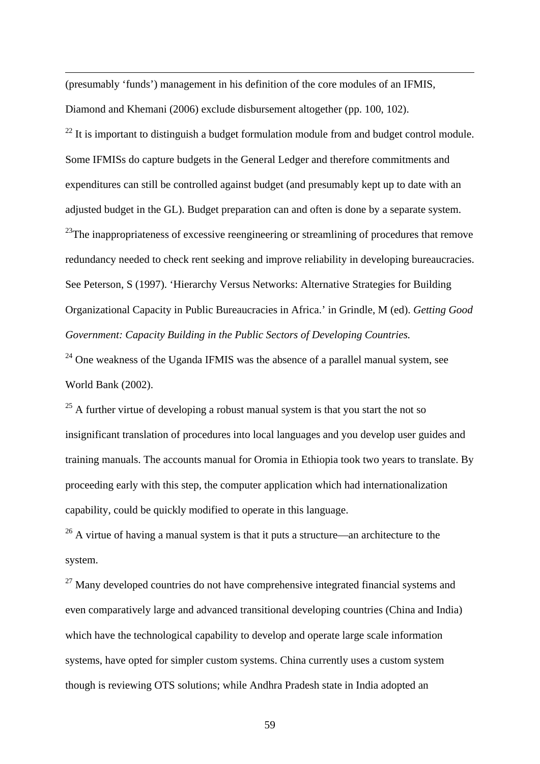<span id="page-59-0"></span>(presumably 'funds') management in his definition of the core modules of an IFMIS, Diamond and Khemani (2006) exclude disbursement altogether (pp. 100, 102).

1

 $^{22}$  It is important to distinguish a budget formulation module from and budget control module. Some IFMISs do capture budgets in the General Ledger and therefore commitments and expenditures can still be controlled against budget (and presumably kept up to date with an adjusted budget in the GL). Budget preparation can and often is done by a separate system.  $^{23}$ The inappropriateness of excessive reengineering or streamlining of procedures that remove redundancy needed to check rent seeking and improve reliability in developing bureaucracies. See Peterson, S (1997). 'Hierarchy Versus Networks: Alternative Strategies for Building Organizational Capacity in Public Bureaucracies in Africa.' in Grindle, M (ed). *Getting Good Government: Capacity Building in the Public Sectors of Developing Countries.*

 $24$  One weakness of the Uganda IFMIS was the absence of a parallel manual system, see World Bank (2002).

 $25$  A further virtue of developing a robust manual system is that you start the not so insignificant translation of procedures into local languages and you develop user guides and training manuals. The accounts manual for Oromia in Ethiopia took two years to translate. By proceeding early with this step, the computer application which had internationalization capability, could be quickly modified to operate in this language.

 $26$  A virtue of having a manual system is that it puts a structure—an architecture to the system.

 $27$  Many developed countries do not have comprehensive integrated financial systems and even comparatively large and advanced transitional developing countries (China and India) which have the technological capability to develop and operate large scale information systems, have opted for simpler custom systems. China currently uses a custom system though is reviewing OTS solutions; while Andhra Pradesh state in India adopted an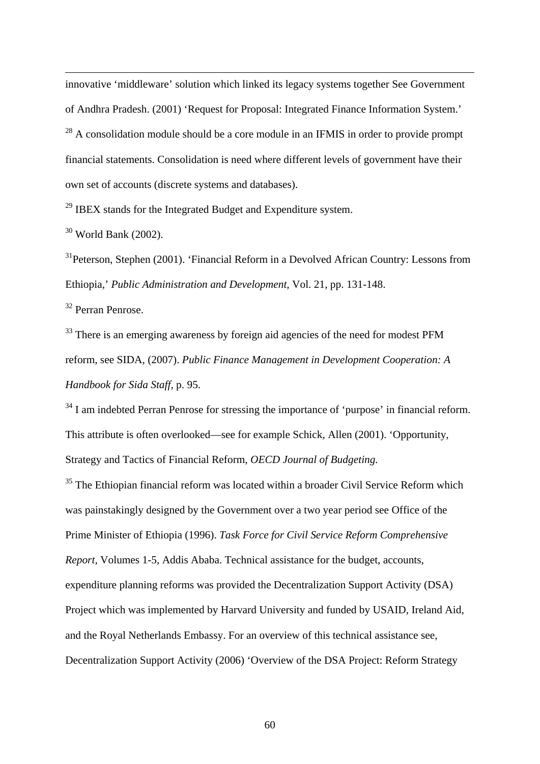<span id="page-60-0"></span>innovative 'middleware' solution which linked its legacy systems together See Government of Andhra Pradesh. (2001) 'Request for Proposal: Integrated Finance Information System.'

 $^{28}$  A consolidation module should be a core module in an IFMIS in order to provide prompt financial statements. Consolidation is need where different levels of government have their own set of accounts (discrete systems and databases).

 $29$  IBEX stands for the Integrated Budget and Expenditure system.

 $30$  World Bank (2002).

1

<sup>31</sup>Peterson, Stephen (2001). 'Financial Reform in a Devolved African Country: Lessons from Ethiopia,' *Public Administration and Development,* Vol. 21, pp. 131-148.

32 Perran Penrose.

<sup>33</sup> There is an emerging awareness by foreign aid agencies of the need for modest PFM reform, see SIDA, (2007). *Public Finance Management in Development Cooperation: A Handbook for Sida Staff,* p. 95.

<sup>34</sup> I am indebted Perran Penrose for stressing the importance of 'purpose' in financial reform. This attribute is often overlooked—see for example Schick, Allen (2001). 'Opportunity, Strategy and Tactics of Financial Reform, *OECD Journal of Budgeting.* 

<sup>35</sup> The Ethiopian financial reform was located within a broader Civil Service Reform which was painstakingly designed by the Government over a two year period see Office of the Prime Minister of Ethiopia (1996). *Task Force for Civil Service Reform Comprehensive Report,* Volumes 1-5, Addis Ababa. Technical assistance for the budget, accounts, expenditure planning reforms was provided the Decentralization Support Activity (DSA) Project which was implemented by Harvard University and funded by USAID, Ireland Aid, and the Royal Netherlands Embassy. For an overview of this technical assistance see, Decentralization Support Activity (2006) 'Overview of the DSA Project: Reform Strategy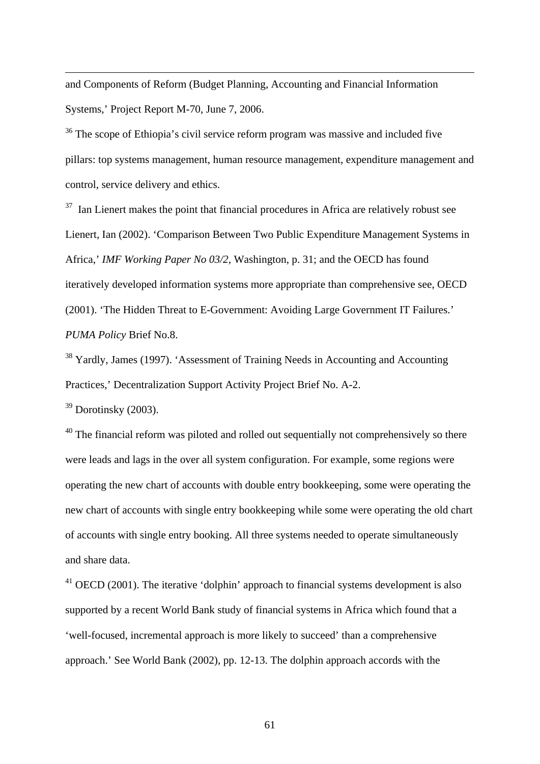<span id="page-61-0"></span>and Components of Reform (Budget Planning, Accounting and Financial Information Systems,' Project Report M-70, June 7, 2006.

<sup>36</sup> The scope of Ethiopia's civil service reform program was massive and included five pillars: top systems management, human resource management, expenditure management and control, service delivery and ethics.

 $37$  Ian Lienert makes the point that financial procedures in Africa are relatively robust see Lienert, Ian (2002). 'Comparison Between Two Public Expenditure Management Systems in Africa,' *IMF Working Paper No 03/2*, Washington, p. 31; and the OECD has found iteratively developed information systems more appropriate than comprehensive see, OECD (2001). 'The Hidden Threat to E-Government: Avoiding Large Government IT Failures.' *PUMA Policy* Brief No.8.

38 Yardly, James (1997). 'Assessment of Training Needs in Accounting and Accounting Practices,' Decentralization Support Activity Project Brief No. A-2.

 $39$  Dorotinsky (2003).

1

 $40$  The financial reform was piloted and rolled out sequentially not comprehensively so there were leads and lags in the over all system configuration. For example, some regions were operating the new chart of accounts with double entry bookkeeping, some were operating the new chart of accounts with single entry bookkeeping while some were operating the old chart of accounts with single entry booking. All three systems needed to operate simultaneously and share data.

 $41$  OECD (2001). The iterative 'dolphin' approach to financial systems development is also supported by a recent World Bank study of financial systems in Africa which found that a 'well-focused, incremental approach is more likely to succeed' than a comprehensive approach.' See World Bank (2002), pp. 12-13. The dolphin approach accords with the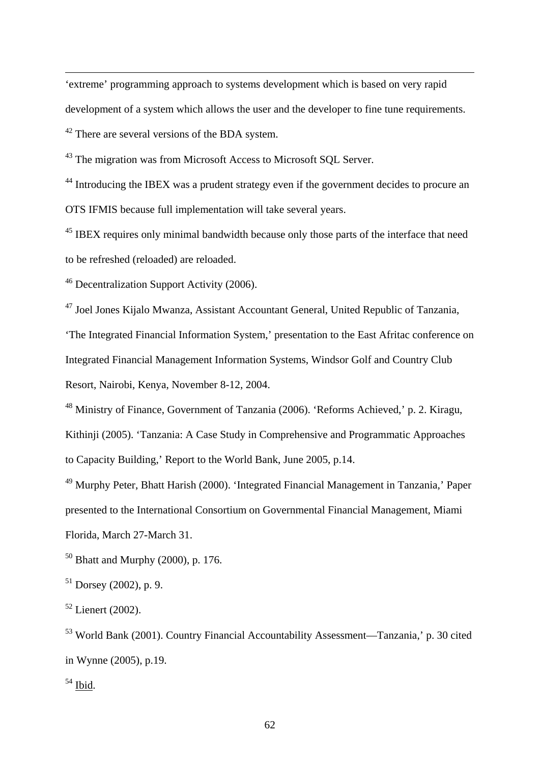<span id="page-62-0"></span>'extreme' programming approach to systems development which is based on very rapid development of a system which allows the user and the developer to fine tune requirements. <sup>42</sup> There are several versions of the BDA system.

<sup>43</sup> The migration was from Microsoft Access to Microsoft SQL Server.

<sup>44</sup> Introducing the IBEX was a prudent strategy even if the government decides to procure an OTS IFMIS because full implementation will take several years.

<sup>45</sup> IBEX requires only minimal bandwidth because only those parts of the interface that need to be refreshed (reloaded) are reloaded.

46 Decentralization Support Activity (2006).

47 Joel Jones Kijalo Mwanza, Assistant Accountant General, United Republic of Tanzania,

'The Integrated Financial Information System,' presentation to the East Afritac conference on Integrated Financial Management Information Systems, Windsor Golf and Country Club Resort, Nairobi, Kenya, November 8-12, 2004.

48 Ministry of Finance, Government of Tanzania (2006). 'Reforms Achieved,' p. 2. Kiragu, Kithinji (2005). 'Tanzania: A Case Study in Comprehensive and Programmatic Approaches to Capacity Building,' Report to the World Bank, June 2005, p.14.

49 Murphy Peter, Bhatt Harish (2000). 'Integrated Financial Management in Tanzania,' Paper presented to the International Consortium on Governmental Financial Management, Miami Florida, March 27-March 31.

 $50$  Bhatt and Murphy (2000), p. 176.

 $51$  Dorsey (2002), p. 9.

 $52$  Lienert (2002).

53 World Bank (2001). Country Financial Accountability Assessment—Tanzania,' p. 30 cited in Wynne (2005), p.19.

 $54$  Ibid.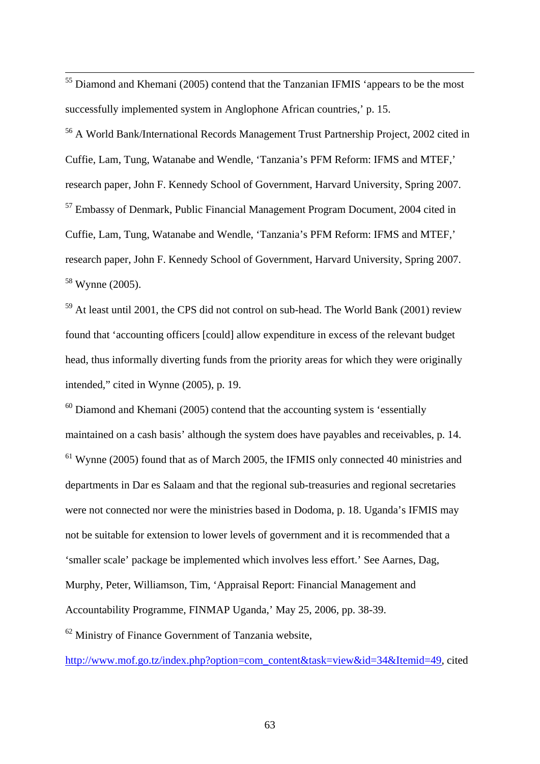<span id="page-63-0"></span><sup>55</sup> Diamond and Khemani (2005) contend that the Tanzanian IFMIS 'appears to be the most successfully implemented system in Anglophone African countries,' p. 15.

56 A World Bank/International Records Management Trust Partnership Project, 2002 cited in Cuffie, Lam, Tung, Watanabe and Wendle, 'Tanzania's PFM Reform: IFMS and MTEF,' research paper, John F. Kennedy School of Government, Harvard University, Spring 2007. 57 Embassy of Denmark, Public Financial Management Program Document, 2004 cited in Cuffie, Lam, Tung, Watanabe and Wendle, 'Tanzania's PFM Reform: IFMS and MTEF,' research paper, John F. Kennedy School of Government, Harvard University, Spring 2007. 58 Wynne (2005).

59 At least until 2001, the CPS did not control on sub-head. The World Bank (2001) review found that 'accounting officers [could] allow expenditure in excess of the relevant budget head, thus informally diverting funds from the priority areas for which they were originally intended," cited in Wynne (2005), p. 19.

 $60$  Diamond and Khemani (2005) contend that the accounting system is 'essentially maintained on a cash basis' although the system does have payables and receivables, p. 14.  $61$  Wynne (2005) found that as of March 2005, the IFMIS only connected 40 ministries and departments in Dar es Salaam and that the regional sub-treasuries and regional secretaries were not connected nor were the ministries based in Dodoma, p. 18. Uganda's IFMIS may not be suitable for extension to lower levels of government and it is recommended that a 'smaller scale' package be implemented which involves less effort.' See Aarnes, Dag, Murphy, Peter, Williamson, Tim, 'Appraisal Report: Financial Management and Accountability Programme, FINMAP Uganda,' May 25, 2006, pp. 38-39. 62 Ministry of Finance Government of Tanzania website,

[http://www.mof.go.tz/index.php?option=com\\_content&task=view&id=34&Itemid=49,](http://www.mof.go.tz/index.php?option=com_content&task=view&id=34&Itemid=49) cited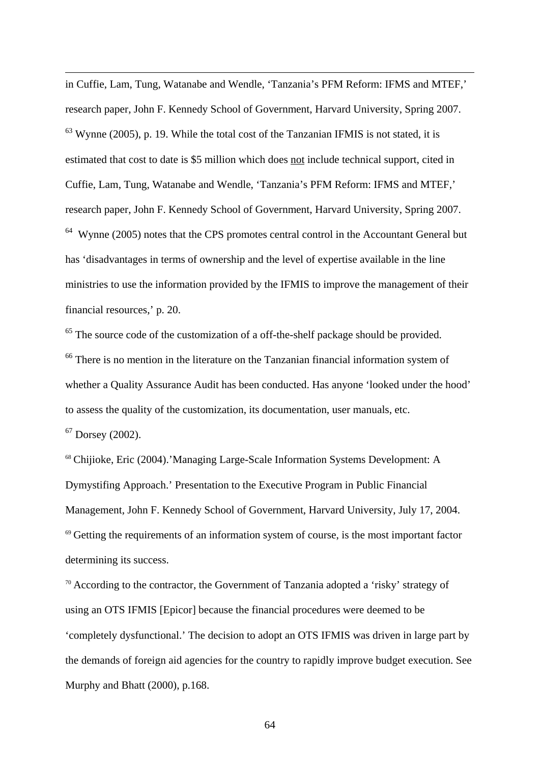<span id="page-64-0"></span>in Cuffie, Lam, Tung, Watanabe and Wendle, 'Tanzania's PFM Reform: IFMS and MTEF,' research paper, John F. Kennedy School of Government, Harvard University, Spring 2007.  $63$  Wynne (2005), p. 19. While the total cost of the Tanzanian IFMIS is not stated, it is estimated that cost to date is \$5 million which does not include technical support, cited in Cuffie, Lam, Tung, Watanabe and Wendle, 'Tanzania's PFM Reform: IFMS and MTEF,' research paper, John F. Kennedy School of Government, Harvard University, Spring 2007.  $64$  Wynne (2005) notes that the CPS promotes central control in the Accountant General but has 'disadvantages in terms of ownership and the level of expertise available in the line ministries to use the information provided by the IFMIS to improve the management of their financial resources,' p. 20.

 $65$  The source code of the customization of a off-the-shelf package should be provided. <sup>66</sup> There is no mention in the literature on the Tanzanian financial information system of whether a Quality Assurance Audit has been conducted. Has anyone 'looked under the hood' to assess the quality of the customization, its documentation, user manuals, etc.

 $67$  Dorsey (2002).

1

<sup>68</sup> Chijioke, Eric (2004).'Managing Large-Scale Information Systems Development: A Dymystifing Approach.' Presentation to the Executive Program in Public Financial Management, John F. Kennedy School of Government, Harvard University, July 17, 2004.  $69$  Getting the requirements of an information system of course, is the most important factor determining its success.

 $70$  According to the contractor, the Government of Tanzania adopted a 'risky' strategy of using an OTS IFMIS [Epicor] because the financial procedures were deemed to be 'completely dysfunctional.' The decision to adopt an OTS IFMIS was driven in large part by the demands of foreign aid agencies for the country to rapidly improve budget execution. See Murphy and Bhatt (2000), p.168.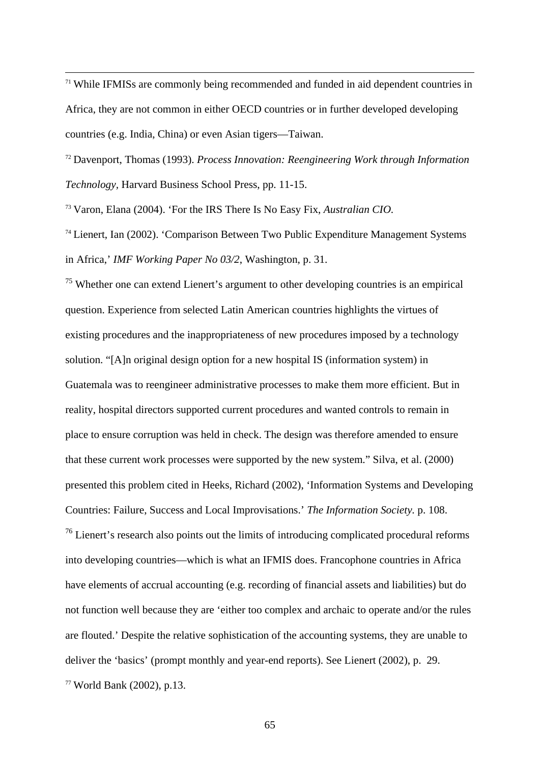<span id="page-65-0"></span> $71$  While IFMISs are commonly being recommended and funded in aid dependent countries in Africa, they are not common in either OECD countries or in further developed developing countries (e.g. India, China) or even Asian tigers—Taiwan.

<sup>72</sup> Davenport, Thomas (1993). *Process Innovation: Reengineering Work through Information Technology,* Harvard Business School Press, pp. 11-15.

<sup>73</sup> Varon, Elana (2004). 'For the IRS There Is No Easy Fix, *Australian CIO.* 

 $74$  Lienert, Ian (2002). 'Comparison Between Two Public Expenditure Management Systems in Africa,' *IMF Working Paper No 03/2*, Washington, p. 31.

 $75$  Whether one can extend Lienert's argument to other developing countries is an empirical question. Experience from selected Latin American countries highlights the virtues of existing procedures and the inappropriateness of new procedures imposed by a technology solution. "[A]n original design option for a new hospital IS (information system) in Guatemala was to reengineer administrative processes to make them more efficient. But in reality, hospital directors supported current procedures and wanted controls to remain in place to ensure corruption was held in check. The design was therefore amended to ensure that these current work processes were supported by the new system." Silva, et al. (2000) presented this problem cited in Heeks, Richard (2002), 'Information Systems and Developing Countries: Failure, Success and Local Improvisations.' *The Information Society.* p. 108. <sup>76</sup> Lienert's research also points out the limits of introducing complicated procedural reforms into developing countries—which is what an IFMIS does. Francophone countries in Africa have elements of accrual accounting (e.g. recording of financial assets and liabilities) but do not function well because they are 'either too complex and archaic to operate and/or the rules are flouted.' Despite the relative sophistication of the accounting systems, they are unable to deliver the 'basics' (prompt monthly and year-end reports). See Lienert (2002), p. 29.

<sup>77</sup> World Bank (2002), p.13.